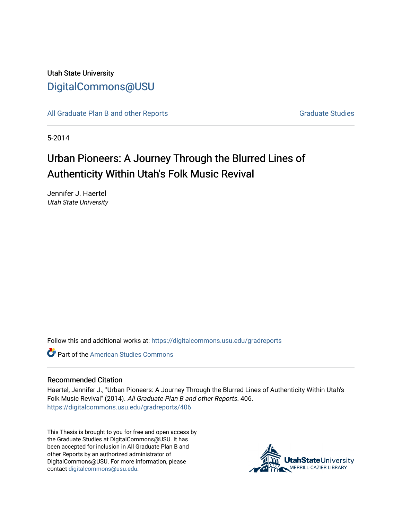## Utah State University [DigitalCommons@USU](https://digitalcommons.usu.edu/)

[All Graduate Plan B and other Reports](https://digitalcommons.usu.edu/gradreports) **Graduate Studies** Graduate Studies

5-2014

# Urban Pioneers: A Journey Through the Blurred Lines of Authenticity Within Utah's Folk Music Revival

Jennifer J. Haertel Utah State University

Follow this and additional works at: [https://digitalcommons.usu.edu/gradreports](https://digitalcommons.usu.edu/gradreports?utm_source=digitalcommons.usu.edu%2Fgradreports%2F406&utm_medium=PDF&utm_campaign=PDFCoverPages)

**C** Part of the [American Studies Commons](http://network.bepress.com/hgg/discipline/439?utm_source=digitalcommons.usu.edu%2Fgradreports%2F406&utm_medium=PDF&utm_campaign=PDFCoverPages)

#### Recommended Citation

Haertel, Jennifer J., "Urban Pioneers: A Journey Through the Blurred Lines of Authenticity Within Utah's Folk Music Revival" (2014). All Graduate Plan B and other Reports. 406. [https://digitalcommons.usu.edu/gradreports/406](https://digitalcommons.usu.edu/gradreports/406?utm_source=digitalcommons.usu.edu%2Fgradreports%2F406&utm_medium=PDF&utm_campaign=PDFCoverPages)

This Thesis is brought to you for free and open access by the Graduate Studies at DigitalCommons@USU. It has been accepted for inclusion in All Graduate Plan B and other Reports by an authorized administrator of DigitalCommons@USU. For more information, please contact [digitalcommons@usu.edu](mailto:digitalcommons@usu.edu).

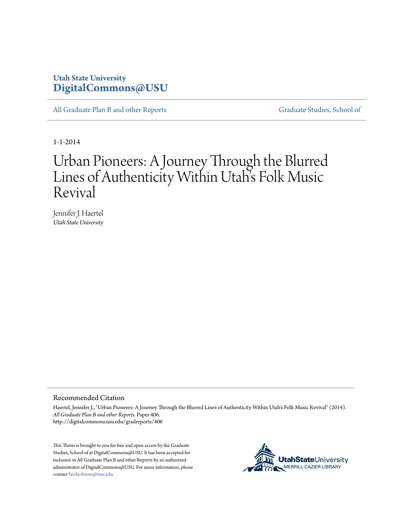## **Utah State University [DigitalCommons@USU](http://digitalcommons.usu.edu)**

[All Graduate Plan B and other Reports](http://digitalcommons.usu.edu/gradreports) [Graduate Studies, School of](http://digitalcommons.usu.edu/gradstudies)

1-1-2014

# Urban Pioneers: A Journey Through the Blurred Lines of Authenticity Within Utah's Folk Music Revival

Jennifer J. Haertel *Utah State University*

#### Recommended Citation

Haertel, Jennifer J., "Urban Pioneers: A Journey Through the Blurred Lines of Authenticity Within Utah's Folk Music Revival" (2014). *All Graduate Plan B and other Reports.* Paper 406. http://digitalcommons.usu.edu/gradreports/406

This Thesis is brought to you for free and open access by the Graduate Studies, School of at DigitalCommons@USU. It has been accepted for inclusion in All Graduate Plan B and other Reports by an authorized administrator of DigitalCommons@USU. For more information, please contact [becky.thoms@usu.edu.](mailto:becky.thoms@usu.edu)

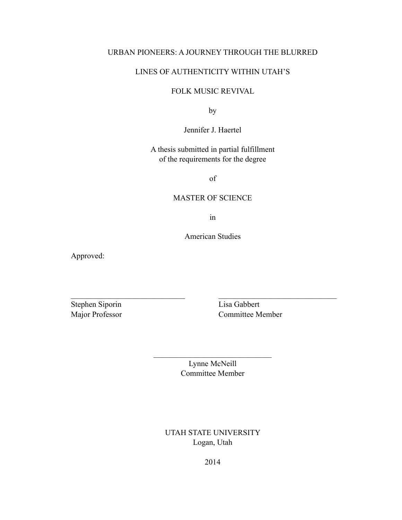## URBAN PIONEERS: A JOURNEY THROUGH THE BLURRED

## LINES OF AUTHENTICITY WITHIN UTAH'S

## FOLK MUSIC REVIVAL

by

Jennifer J. Haertel

A thesis submitted in partial fulfillment of the requirements for the degree

of

#### MASTER OF SCIENCE

in

American Studies

 $\mathcal{L}_\text{max}$  , and the contribution of the contribution of the contribution of the contribution of the contribution of the contribution of the contribution of the contribution of the contribution of the contribution of t

Approved:

Stephen Siporin Lisa Gabbert

Major Professor Committee Member

Lynne McNeill Committee Member

 $\mathcal{L}_\text{max}$  , where  $\mathcal{L}_\text{max}$  and  $\mathcal{L}_\text{max}$ 

UTAH STATE UNIVERSITY Logan, Utah

2014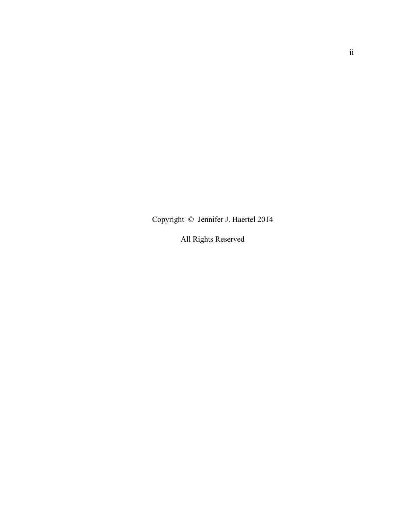Copyright © Jennifer J. Haertel 2014

All Rights Reserved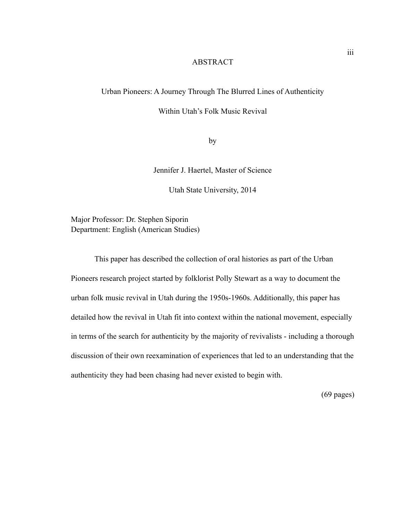## ABSTRACT

## Urban Pioneers: A Journey Through The Blurred Lines of Authenticity

Within Utah's Folk Music Revival

by

Jennifer J. Haertel, Master of Science

Utah State University, 2014

Major Professor: Dr. Stephen Siporin Department: English (American Studies)

 This paper has described the collection of oral histories as part of the Urban Pioneers research project started by folklorist Polly Stewart as a way to document the urban folk music revival in Utah during the 1950s-1960s. Additionally, this paper has detailed how the revival in Utah fit into context within the national movement, especially in terms of the search for authenticity by the majority of revivalists - including a thorough discussion of their own reexamination of experiences that led to an understanding that the authenticity they had been chasing had never existed to begin with.

(69 pages)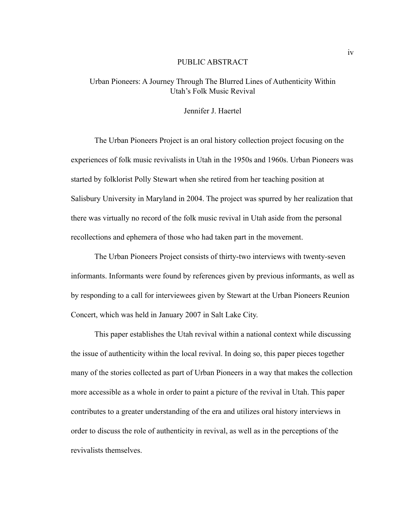#### PUBLIC ABSTRACT

## Urban Pioneers: A Journey Through The Blurred Lines of Authenticity Within Utah's Folk Music Revival

#### Jennifer J. Haertel

 The Urban Pioneers Project is an oral history collection project focusing on the experiences of folk music revivalists in Utah in the 1950s and 1960s. Urban Pioneers was started by folklorist Polly Stewart when she retired from her teaching position at Salisbury University in Maryland in 2004. The project was spurred by her realization that there was virtually no record of the folk music revival in Utah aside from the personal recollections and ephemera of those who had taken part in the movement.

 The Urban Pioneers Project consists of thirty-two interviews with twenty-seven informants. Informants were found by references given by previous informants, as well as by responding to a call for interviewees given by Stewart at the Urban Pioneers Reunion Concert, which was held in January 2007 in Salt Lake City.

 This paper establishes the Utah revival within a national context while discussing the issue of authenticity within the local revival. In doing so, this paper pieces together many of the stories collected as part of Urban Pioneers in a way that makes the collection more accessible as a whole in order to paint a picture of the revival in Utah. This paper contributes to a greater understanding of the era and utilizes oral history interviews in order to discuss the role of authenticity in revival, as well as in the perceptions of the revivalists themselves.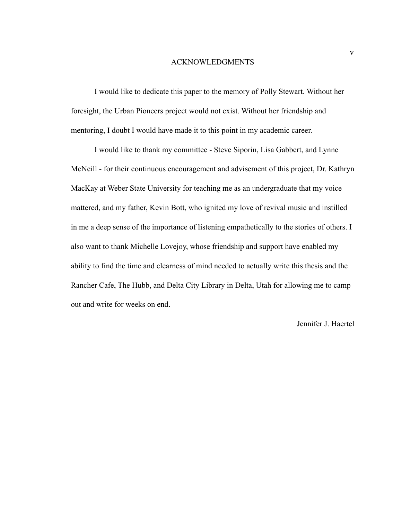#### ACKNOWLEDGMENTS

 I would like to dedicate this paper to the memory of Polly Stewart. Without her foresight, the Urban Pioneers project would not exist. Without her friendship and mentoring, I doubt I would have made it to this point in my academic career.

 I would like to thank my committee - Steve Siporin, Lisa Gabbert, and Lynne McNeill - for their continuous encouragement and advisement of this project, Dr. Kathryn MacKay at Weber State University for teaching me as an undergraduate that my voice mattered, and my father, Kevin Bott, who ignited my love of revival music and instilled in me a deep sense of the importance of listening empathetically to the stories of others. I also want to thank Michelle Lovejoy, whose friendship and support have enabled my ability to find the time and clearness of mind needed to actually write this thesis and the Rancher Cafe, The Hubb, and Delta City Library in Delta, Utah for allowing me to camp out and write for weeks on end.

## Jennifer J. Haertel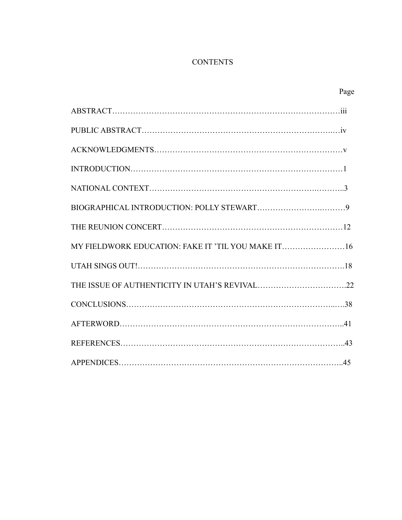## **CONTENTS**

|                                                    | Page |
|----------------------------------------------------|------|
|                                                    |      |
|                                                    |      |
|                                                    |      |
|                                                    |      |
|                                                    |      |
|                                                    |      |
|                                                    |      |
| MY FIELDWORK EDUCATION: FAKE IT 'TIL YOU MAKE IT16 |      |
|                                                    |      |
|                                                    |      |
|                                                    |      |
|                                                    |      |
|                                                    |      |
|                                                    |      |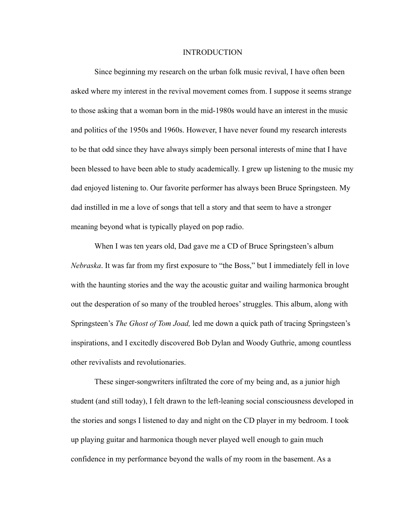#### INTRODUCTION

Since beginning my research on the urban folk music revival, I have often been asked where my interest in the revival movement comes from. I suppose it seems strange to those asking that a woman born in the mid-1980s would have an interest in the music and politics of the 1950s and 1960s. However, I have never found my research interests to be that odd since they have always simply been personal interests of mine that I have been blessed to have been able to study academically. I grew up listening to the music my dad enjoyed listening to. Our favorite performer has always been Bruce Springsteen. My dad instilled in me a love of songs that tell a story and that seem to have a stronger meaning beyond what is typically played on pop radio.

 When I was ten years old, Dad gave me a CD of Bruce Springsteen's album *Nebraska*. It was far from my first exposure to "the Boss," but I immediately fell in love with the haunting stories and the way the acoustic guitar and wailing harmonica brought out the desperation of so many of the troubled heroes' struggles. This album, along with Springsteen's *The Ghost of Tom Joad,* led me down a quick path of tracing Springsteen's inspirations, and I excitedly discovered Bob Dylan and Woody Guthrie, among countless other revivalists and revolutionaries.

 These singer-songwriters infiltrated the core of my being and, as a junior high student (and still today), I felt drawn to the left-leaning social consciousness developed in the stories and songs I listened to day and night on the CD player in my bedroom. I took up playing guitar and harmonica though never played well enough to gain much confidence in my performance beyond the walls of my room in the basement. As a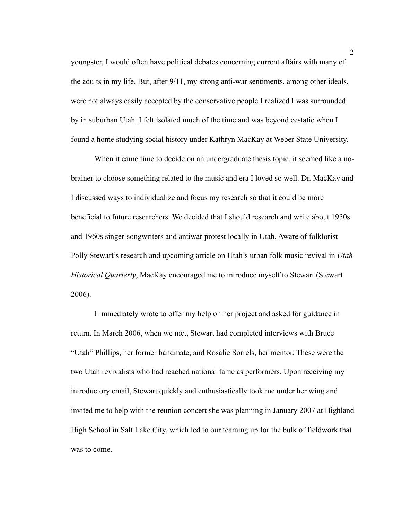youngster, I would often have political debates concerning current affairs with many of the adults in my life. But, after 9/11, my strong anti-war sentiments, among other ideals, were not always easily accepted by the conservative people I realized I was surrounded by in suburban Utah. I felt isolated much of the time and was beyond ecstatic when I found a home studying social history under Kathryn MacKay at Weber State University.

 When it came time to decide on an undergraduate thesis topic, it seemed like a nobrainer to choose something related to the music and era I loved so well. Dr. MacKay and I discussed ways to individualize and focus my research so that it could be more beneficial to future researchers. We decided that I should research and write about 1950s and 1960s singer-songwriters and antiwar protest locally in Utah. Aware of folklorist Polly Stewart's research and upcoming article on Utah's urban folk music revival in *Utah Historical Quarterly*, MacKay encouraged me to introduce myself to Stewart (Stewart 2006).

 I immediately wrote to offer my help on her project and asked for guidance in return. In March 2006, when we met, Stewart had completed interviews with Bruce "Utah" Phillips, her former bandmate, and Rosalie Sorrels, her mentor. These were the two Utah revivalists who had reached national fame as performers. Upon receiving my introductory email, Stewart quickly and enthusiastically took me under her wing and invited me to help with the reunion concert she was planning in January 2007 at Highland High School in Salt Lake City, which led to our teaming up for the bulk of fieldwork that was to come.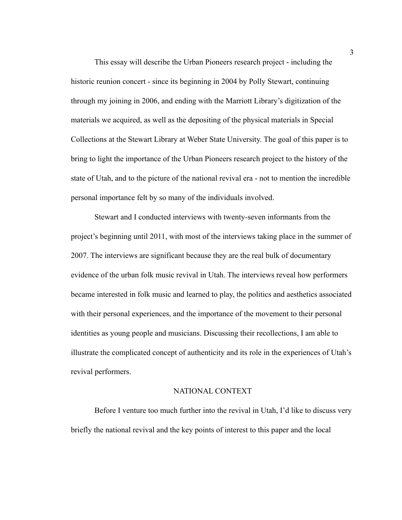This essay will describe the Urban Pioneers research project - including the historic reunion concert - since its beginning in 2004 by Polly Stewart, continuing through my joining in 2006, and ending with the Marriott Library's digitization of the materials we acquired, as well as the depositing of the physical materials in Special Collections at the Stewart Library at Weber State University. The goal of this paper is to bring to light the importance of the Urban Pioneers research project to the history of the state of Utah, and to the picture of the national revival era - not to mention the incredible personal importance felt by so many of the individuals involved.

 Stewart and I conducted interviews with twenty-seven informants from the project's beginning until 2011, with most of the interviews taking place in the summer of 2007. The interviews are significant because they are the real bulk of documentary evidence of the urban folk music revival in Utah. The interviews reveal how performers became interested in folk music and learned to play, the politics and aesthetics associated with their personal experiences, and the importance of the movement to their personal identities as young people and musicians. Discussing their recollections, I am able to illustrate the complicated concept of authenticity and its role in the experiences of Utah's revival performers.

## NATIONAL CONTEXT

Before I venture too much further into the revival in Utah, I'd like to discuss very briefly the national revival and the key points of interest to this paper and the local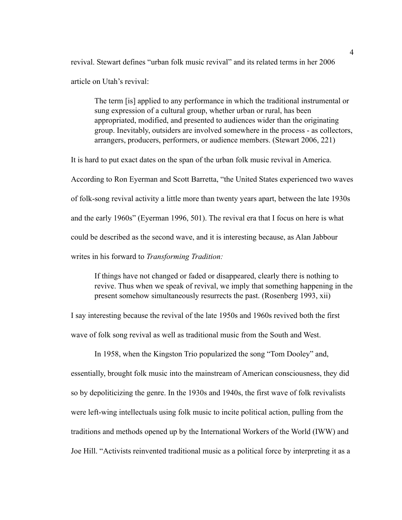revival. Stewart defines "urban folk music revival" and its related terms in her 2006 article on Utah's revival:

 The term [is] applied to any performance in which the traditional instrumental or sung expression of a cultural group, whether urban or rural, has been appropriated, modified, and presented to audiences wider than the originating group. Inevitably, outsiders are involved somewhere in the process - as collectors, arrangers, producers, performers, or audience members. (Stewart 2006, 221)

It is hard to put exact dates on the span of the urban folk music revival in America. According to Ron Eyerman and Scott Barretta, "the United States experienced two waves of folk-song revival activity a little more than twenty years apart, between the late 1930s and the early 1960s" (Eyerman 1996, 501). The revival era that I focus on here is what could be described as the second wave, and it is interesting because, as Alan Jabbour writes in his forward to *Transforming Tradition:* 

If things have not changed or faded or disappeared, clearly there is nothing to revive. Thus when we speak of revival, we imply that something happening in the present somehow simultaneously resurrects the past. (Rosenberg 1993, xii)

I say interesting because the revival of the late 1950s and 1960s revived both the first wave of folk song revival as well as traditional music from the South and West.

 In 1958, when the Kingston Trio popularized the song "Tom Dooley" and, essentially, brought folk music into the mainstream of American consciousness, they did so by depoliticizing the genre. In the 1930s and 1940s, the first wave of folk revivalists were left-wing intellectuals using folk music to incite political action, pulling from the traditions and methods opened up by the International Workers of the World (IWW) and Joe Hill. "Activists reinvented traditional music as a political force by interpreting it as a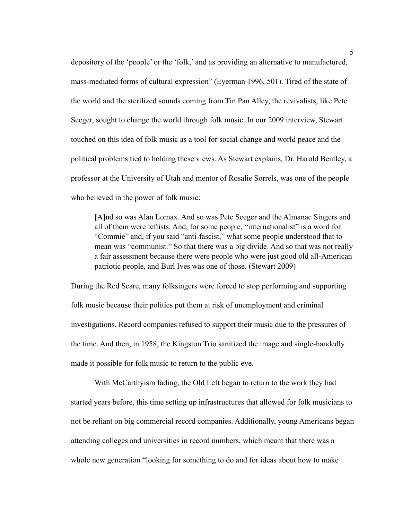depository of the 'people' or the 'folk,' and as providing an alternative to manufactured, mass-mediated forms of cultural expression" (Eyerman 1996, 501). Tired of the state of the world and the sterilized sounds coming from Tin Pan Alley, the revivalists, like Pete Seeger, sought to change the world through folk music. In our 2009 interview, Stewart touched on this idea of folk music as a tool for social change and world peace and the political problems tied to holding these views. As Stewart explains, Dr. Harold Bentley, a professor at the University of Utah and mentor of Rosalie Sorrels, was one of the people who believed in the power of folk music:

 [A]nd so was Alan Lomax. And so was Pete Seeger and the Almanac Singers and all of them were leftists. And, for some people, "internationalist" is a word for "Commie" and, if you said "anti-fascist," what some people understood that to mean was "communist." So that there was a big divide. And so that was not really a fair assessment because there were people who were just good old all-American patriotic people, and Burl Ives was one of those. (Stewart 2009)

During the Red Scare, many folksingers were forced to stop performing and supporting folk music because their politics put them at risk of unemployment and criminal investigations. Record companies refused to support their music due to the pressures of the time. And then, in 1958, the Kingston Trio sanitized the image and single-handedly made it possible for folk music to return to the public eye.

 With McCarthyism fading, the Old Left began to return to the work they had started years before, this time setting up infrastructures that allowed for folk musicians to not be reliant on big commercial record companies. Additionally, young Americans began attending colleges and universities in record numbers, which meant that there was a whole new generation "looking for something to do and for ideas about how to make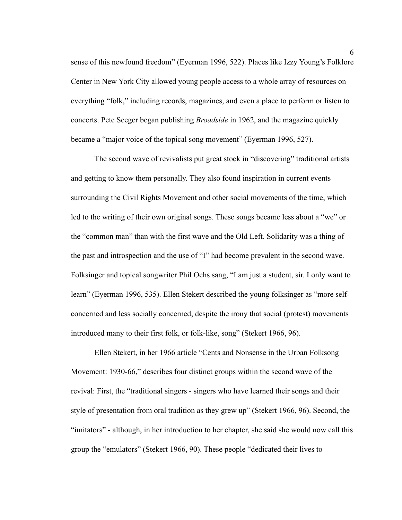sense of this newfound freedom" (Eyerman 1996, 522). Places like Izzy Young's Folklore Center in New York City allowed young people access to a whole array of resources on everything "folk," including records, magazines, and even a place to perform or listen to concerts. Pete Seeger began publishing *Broadside* in 1962, and the magazine quickly became a "major voice of the topical song movement" (Eyerman 1996, 527).

 The second wave of revivalists put great stock in "discovering" traditional artists and getting to know them personally. They also found inspiration in current events surrounding the Civil Rights Movement and other social movements of the time, which led to the writing of their own original songs. These songs became less about a "we" or the "common man" than with the first wave and the Old Left. Solidarity was a thing of the past and introspection and the use of "I" had become prevalent in the second wave. Folksinger and topical songwriter Phil Ochs sang, "I am just a student, sir. I only want to learn" (Eyerman 1996, 535). Ellen Stekert described the young folksinger as "more selfconcerned and less socially concerned, despite the irony that social (protest) movements introduced many to their first folk, or folk-like, song" (Stekert 1966, 96).

 Ellen Stekert, in her 1966 article "Cents and Nonsense in the Urban Folksong Movement: 1930-66," describes four distinct groups within the second wave of the revival: First, the "traditional singers - singers who have learned their songs and their style of presentation from oral tradition as they grew up" (Stekert 1966, 96). Second, the "imitators" - although, in her introduction to her chapter, she said she would now call this group the "emulators" (Stekert 1966, 90). These people "dedicated their lives to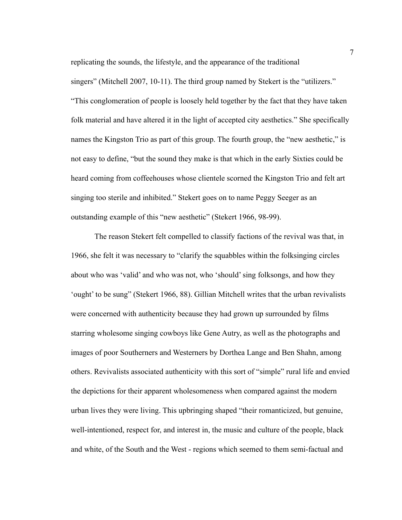replicating the sounds, the lifestyle, and the appearance of the traditional

singers" (Mitchell 2007, 10-11). The third group named by Stekert is the "utilizers." "This conglomeration of people is loosely held together by the fact that they have taken folk material and have altered it in the light of accepted city aesthetics." She specifically names the Kingston Trio as part of this group. The fourth group, the "new aesthetic," is not easy to define, "but the sound they make is that which in the early Sixties could be heard coming from coffeehouses whose clientele scorned the Kingston Trio and felt art singing too sterile and inhibited." Stekert goes on to name Peggy Seeger as an outstanding example of this "new aesthetic" (Stekert 1966, 98-99).

 The reason Stekert felt compelled to classify factions of the revival was that, in 1966, she felt it was necessary to "clarify the squabbles within the folksinging circles about who was 'valid' and who was not, who 'should' sing folksongs, and how they 'ought' to be sung" (Stekert 1966, 88). Gillian Mitchell writes that the urban revivalists were concerned with authenticity because they had grown up surrounded by films starring wholesome singing cowboys like Gene Autry, as well as the photographs and images of poor Southerners and Westerners by Dorthea Lange and Ben Shahn, among others. Revivalists associated authenticity with this sort of "simple" rural life and envied the depictions for their apparent wholesomeness when compared against the modern urban lives they were living. This upbringing shaped "their romanticized, but genuine, well-intentioned, respect for, and interest in, the music and culture of the people, black and white, of the South and the West - regions which seemed to them semi-factual and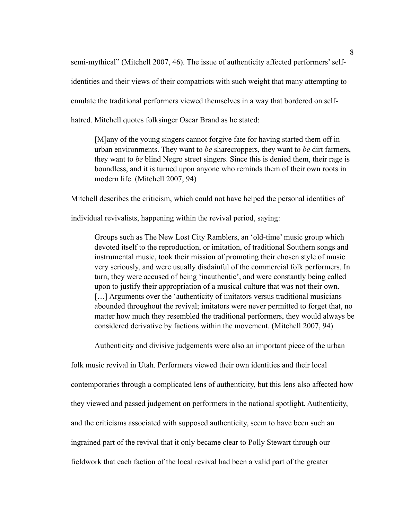semi-mythical" (Mitchell 2007, 46). The issue of authenticity affected performers' selfidentities and their views of their compatriots with such weight that many attempting to emulate the traditional performers viewed themselves in a way that bordered on selfhatred. Mitchell quotes folksinger Oscar Brand as he stated:

 [M]any of the young singers cannot forgive fate for having started them off in urban environments. They want to *be* sharecroppers, they want to *be* dirt farmers, they want to *be* blind Negro street singers. Since this is denied them, their rage is boundless, and it is turned upon anyone who reminds them of their own roots in modern life. (Mitchell 2007, 94)

Mitchell describes the criticism, which could not have helped the personal identities of

individual revivalists, happening within the revival period, saying:

 Groups such as The New Lost City Ramblers, an 'old-time' music group which devoted itself to the reproduction, or imitation, of traditional Southern songs and instrumental music, took their mission of promoting their chosen style of music very seriously, and were usually disdainful of the commercial folk performers. In turn, they were accused of being 'inauthentic', and were constantly being called upon to justify their appropriation of a musical culture that was not their own. [...] Arguments over the 'authenticity of imitators versus traditional musicians abounded throughout the revival; imitators were never permitted to forget that, no matter how much they resembled the traditional performers, they would always be considered derivative by factions within the movement. (Mitchell 2007, 94)

Authenticity and divisive judgements were also an important piece of the urban

folk music revival in Utah. Performers viewed their own identities and their local contemporaries through a complicated lens of authenticity, but this lens also affected how they viewed and passed judgement on performers in the national spotlight. Authenticity, and the criticisms associated with supposed authenticity, seem to have been such an ingrained part of the revival that it only became clear to Polly Stewart through our fieldwork that each faction of the local revival had been a valid part of the greater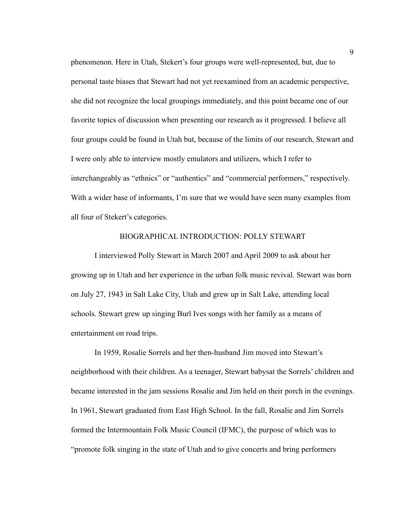phenomenon. Here in Utah, Stekert's four groups were well-represented, but, due to personal taste biases that Stewart had not yet reexamined from an academic perspective, she did not recognize the local groupings immediately, and this point became one of our favorite topics of discussion when presenting our research as it progressed. I believe all four groups could be found in Utah but, because of the limits of our research, Stewart and I were only able to interview mostly emulators and utilizers, which I refer to interchangeably as "ethnics" or "authentics" and "commercial performers," respectively. With a wider base of informants, I'm sure that we would have seen many examples from all four of Stekert's categories.

#### BIOGRAPHICAL INTRODUCTION: POLLY STEWART

 I interviewed Polly Stewart in March 2007 and April 2009 to ask about her growing up in Utah and her experience in the urban folk music revival. Stewart was born on July 27, 1943 in Salt Lake City, Utah and grew up in Salt Lake, attending local schools. Stewart grew up singing Burl Ives songs with her family as a means of entertainment on road trips.

 In 1959, Rosalie Sorrels and her then-husband Jim moved into Stewart's neighborhood with their children. As a teenager, Stewart babysat the Sorrels' children and became interested in the jam sessions Rosalie and Jim held on their porch in the evenings. In 1961, Stewart graduated from East High School. In the fall, Rosalie and Jim Sorrels formed the Intermountain Folk Music Council (IFMC), the purpose of which was to "promote folk singing in the state of Utah and to give concerts and bring performers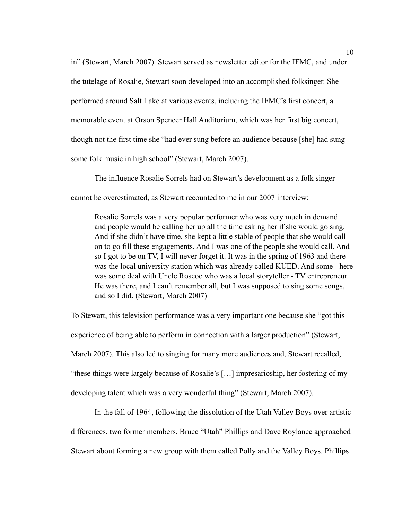in" (Stewart, March 2007). Stewart served as newsletter editor for the IFMC, and under the tutelage of Rosalie, Stewart soon developed into an accomplished folksinger. She performed around Salt Lake at various events, including the IFMC's first concert, a memorable event at Orson Spencer Hall Auditorium, which was her first big concert, though not the first time she "had ever sung before an audience because [she] had sung some folk music in high school" (Stewart, March 2007).

 The influence Rosalie Sorrels had on Stewart's development as a folk singer cannot be overestimated, as Stewart recounted to me in our 2007 interview:

 Rosalie Sorrels was a very popular performer who was very much in demand and people would be calling her up all the time asking her if she would go sing. And if she didn't have time, she kept a little stable of people that she would call on to go fill these engagements. And I was one of the people she would call. And so I got to be on TV, I will never forget it. It was in the spring of 1963 and there was the local university station which was already called KUED. And some - here was some deal with Uncle Roscoe who was a local storyteller - TV entrepreneur. He was there, and I can't remember all, but I was supposed to sing some songs, and so I did. (Stewart, March 2007)

To Stewart, this television performance was a very important one because she "got this experience of being able to perform in connection with a larger production" (Stewart, March 2007). This also led to singing for many more audiences and, Stewart recalled, "these things were largely because of Rosalie's […] impresarioship, her fostering of my developing talent which was a very wonderful thing" (Stewart, March 2007).

 In the fall of 1964, following the dissolution of the Utah Valley Boys over artistic differences, two former members, Bruce "Utah" Phillips and Dave Roylance approached Stewart about forming a new group with them called Polly and the Valley Boys. Phillips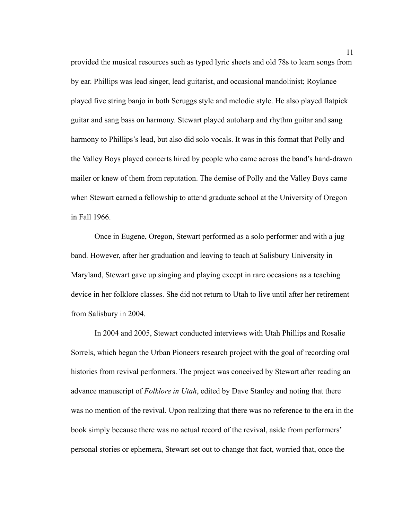provided the musical resources such as typed lyric sheets and old 78s to learn songs from by ear. Phillips was lead singer, lead guitarist, and occasional mandolinist; Roylance played five string banjo in both Scruggs style and melodic style. He also played flatpick guitar and sang bass on harmony. Stewart played autoharp and rhythm guitar and sang harmony to Phillips's lead, but also did solo vocals. It was in this format that Polly and the Valley Boys played concerts hired by people who came across the band's hand-drawn mailer or knew of them from reputation. The demise of Polly and the Valley Boys came when Stewart earned a fellowship to attend graduate school at the University of Oregon in Fall 1966.

 Once in Eugene, Oregon, Stewart performed as a solo performer and with a jug band. However, after her graduation and leaving to teach at Salisbury University in Maryland, Stewart gave up singing and playing except in rare occasions as a teaching device in her folklore classes. She did not return to Utah to live until after her retirement from Salisbury in 2004.

 In 2004 and 2005, Stewart conducted interviews with Utah Phillips and Rosalie Sorrels, which began the Urban Pioneers research project with the goal of recording oral histories from revival performers. The project was conceived by Stewart after reading an advance manuscript of *Folklore in Utah*, edited by Dave Stanley and noting that there was no mention of the revival. Upon realizing that there was no reference to the era in the book simply because there was no actual record of the revival, aside from performers' personal stories or ephemera, Stewart set out to change that fact, worried that, once the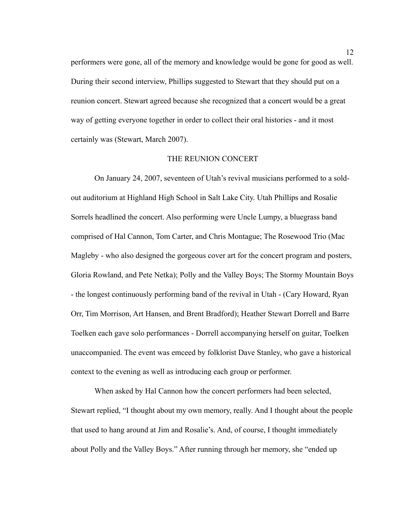performers were gone, all of the memory and knowledge would be gone for good as well. During their second interview, Phillips suggested to Stewart that they should put on a reunion concert. Stewart agreed because she recognized that a concert would be a great way of getting everyone together in order to collect their oral histories - and it most certainly was (Stewart, March 2007).

## THE REUNION CONCERT

On January 24, 2007, seventeen of Utah's revival musicians performed to a soldout auditorium at Highland High School in Salt Lake City. Utah Phillips and Rosalie Sorrels headlined the concert. Also performing were Uncle Lumpy, a bluegrass band comprised of Hal Cannon, Tom Carter, and Chris Montague; The Rosewood Trio (Mac Magleby - who also designed the gorgeous cover art for the concert program and posters, Gloria Rowland, and Pete Netka); Polly and the Valley Boys; The Stormy Mountain Boys - the longest continuously performing band of the revival in Utah - (Cary Howard, Ryan Orr, Tim Morrison, Art Hansen, and Brent Bradford); Heather Stewart Dorrell and Barre Toelken each gave solo performances - Dorrell accompanying herself on guitar, Toelken unaccompanied. The event was emceed by folklorist Dave Stanley, who gave a historical context to the evening as well as introducing each group or performer.

 When asked by Hal Cannon how the concert performers had been selected, Stewart replied, "I thought about my own memory, really. And I thought about the people that used to hang around at Jim and Rosalie's. And, of course, I thought immediately about Polly and the Valley Boys." After running through her memory, she "ended up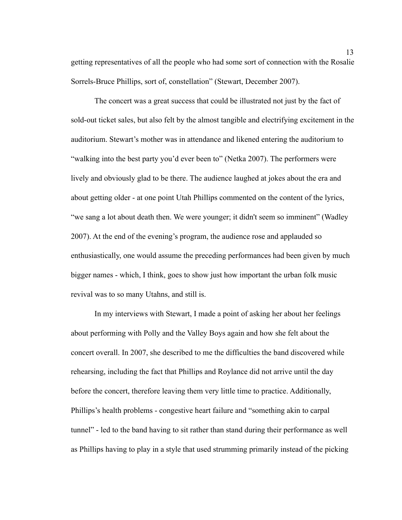getting representatives of all the people who had some sort of connection with the Rosalie Sorrels-Bruce Phillips, sort of, constellation" (Stewart, December 2007).

 The concert was a great success that could be illustrated not just by the fact of sold-out ticket sales, but also felt by the almost tangible and electrifying excitement in the auditorium. Stewart's mother was in attendance and likened entering the auditorium to "walking into the best party you'd ever been to" (Netka 2007). The performers were lively and obviously glad to be there. The audience laughed at jokes about the era and about getting older - at one point Utah Phillips commented on the content of the lyrics, "we sang a lot about death then. We were younger; it didn't seem so imminent" (Wadley 2007). At the end of the evening's program, the audience rose and applauded so enthusiastically, one would assume the preceding performances had been given by much bigger names - which, I think, goes to show just how important the urban folk music revival was to so many Utahns, and still is.

 In my interviews with Stewart, I made a point of asking her about her feelings about performing with Polly and the Valley Boys again and how she felt about the concert overall. In 2007, she described to me the difficulties the band discovered while rehearsing, including the fact that Phillips and Roylance did not arrive until the day before the concert, therefore leaving them very little time to practice. Additionally, Phillips's health problems - congestive heart failure and "something akin to carpal tunnel" - led to the band having to sit rather than stand during their performance as well as Phillips having to play in a style that used strumming primarily instead of the picking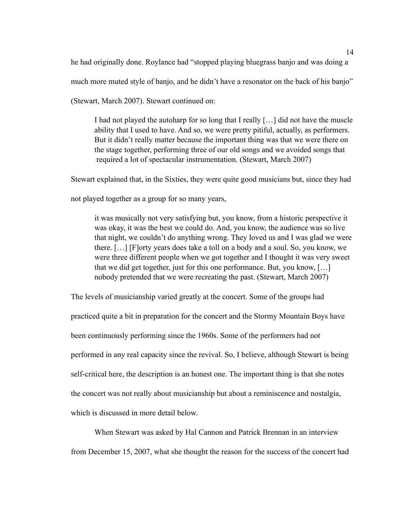he had originally done. Roylance had "stopped playing bluegrass banjo and was doing a

much more muted style of banjo, and he didn't have a resonator on the back of his banjo"

(Stewart, March 2007). Stewart continued on:

 I had not played the autoharp for so long that I really […] did not have the muscle ability that I used to have. And so, we were pretty pitiful, actually, as performers. But it didn't really matter because the important thing was that we were there on the stage together, performing three of our old songs and we avoided songs that required a lot of spectacular instrumentation. (Stewart, March 2007)

Stewart explained that, in the Sixties, they were quite good musicians but, since they had

not played together as a group for so many years,

 it was musically not very satisfying but, you know, from a historic perspective it was okay, it was the best we could do. And, you know, the audience was so live that night, we couldn't do anything wrong. They loved us and I was glad we were there. […] [F]orty years does take a toll on a body and a soul. So, you know, we were three different people when we got together and I thought it was very sweet that we did get together, just for this one performance. But, you know, […] nobody pretended that we were recreating the past. (Stewart, March 2007)

The levels of musicianship varied greatly at the concert. Some of the groups had practiced quite a bit in preparation for the concert and the Stormy Mountain Boys have been continuously performing since the 1960s. Some of the performers had not performed in any real capacity since the revival. So, I believe, although Stewart is being self-critical here, the description is an honest one. The important thing is that she notes the concert was not really about musicianship but about a reminiscence and nostalgia, which is discussed in more detail below.

 When Stewart was asked by Hal Cannon and Patrick Brennan in an interview from December 15, 2007, what she thought the reason for the success of the concert had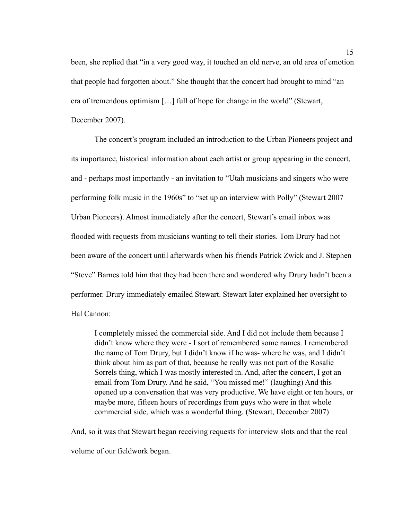been, she replied that "in a very good way, it touched an old nerve, an old area of emotion that people had forgotten about." She thought that the concert had brought to mind "an era of tremendous optimism […] full of hope for change in the world" (Stewart, December 2007).

 The concert's program included an introduction to the Urban Pioneers project and its importance, historical information about each artist or group appearing in the concert, and - perhaps most importantly - an invitation to "Utah musicians and singers who were performing folk music in the 1960s" to "set up an interview with Polly" (Stewart 2007 Urban Pioneers). Almost immediately after the concert, Stewart's email inbox was flooded with requests from musicians wanting to tell their stories. Tom Drury had not been aware of the concert until afterwards when his friends Patrick Zwick and J. Stephen "Steve" Barnes told him that they had been there and wondered why Drury hadn't been a performer. Drury immediately emailed Stewart. Stewart later explained her oversight to Hal Cannon:

 I completely missed the commercial side. And I did not include them because I didn't know where they were - I sort of remembered some names. I remembered the name of Tom Drury, but I didn't know if he was- where he was, and I didn't think about him as part of that, because he really was not part of the Rosalie Sorrels thing, which I was mostly interested in. And, after the concert, I got an email from Tom Drury. And he said, "You missed me!" (laughing) And this opened up a conversation that was very productive. We have eight or ten hours, or maybe more, fifteen hours of recordings from guys who were in that whole commercial side, which was a wonderful thing. (Stewart, December 2007)

And, so it was that Stewart began receiving requests for interview slots and that the real volume of our fieldwork began.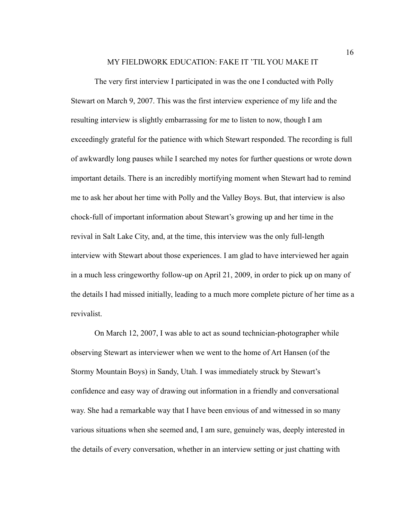#### MY FIELDWORK EDUCATION: FAKE IT 'TIL YOU MAKE IT

 The very first interview I participated in was the one I conducted with Polly Stewart on March 9, 2007. This was the first interview experience of my life and the resulting interview is slightly embarrassing for me to listen to now, though I am exceedingly grateful for the patience with which Stewart responded. The recording is full of awkwardly long pauses while I searched my notes for further questions or wrote down important details. There is an incredibly mortifying moment when Stewart had to remind me to ask her about her time with Polly and the Valley Boys. But, that interview is also chock-full of important information about Stewart's growing up and her time in the revival in Salt Lake City, and, at the time, this interview was the only full-length interview with Stewart about those experiences. I am glad to have interviewed her again in a much less cringeworthy follow-up on April 21, 2009, in order to pick up on many of the details I had missed initially, leading to a much more complete picture of her time as a revivalist.

 On March 12, 2007, I was able to act as sound technician-photographer while observing Stewart as interviewer when we went to the home of Art Hansen (of the Stormy Mountain Boys) in Sandy, Utah. I was immediately struck by Stewart's confidence and easy way of drawing out information in a friendly and conversational way. She had a remarkable way that I have been envious of and witnessed in so many various situations when she seemed and, I am sure, genuinely was, deeply interested in the details of every conversation, whether in an interview setting or just chatting with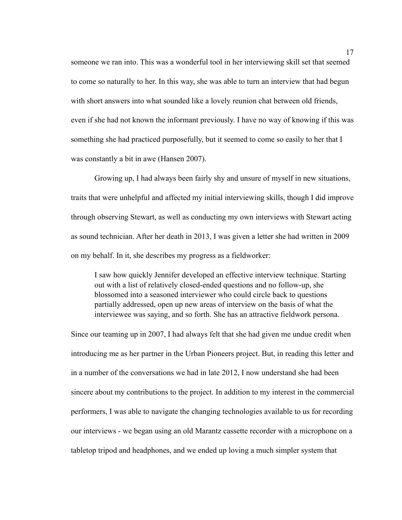someone we ran into. This was a wonderful tool in her interviewing skill set that seemed to come so naturally to her. In this way, she was able to turn an interview that had begun with short answers into what sounded like a lovely reunion chat between old friends, even if she had not known the informant previously. I have no way of knowing if this was something she had practiced purposefully, but it seemed to come so easily to her that I was constantly a bit in awe (Hansen 2007).

 Growing up, I had always been fairly shy and unsure of myself in new situations, traits that were unhelpful and affected my initial interviewing skills, though I did improve through observing Stewart, as well as conducting my own interviews with Stewart acting as sound technician. After her death in 2013, I was given a letter she had written in 2009 on my behalf. In it, she describes my progress as a fieldworker:

 I saw how quickly Jennifer developed an effective interview technique. Starting out with a list of relatively closed-ended questions and no follow-up, she blossomed into a seasoned interviewer who could circle back to questions partially addressed, open up new areas of interview on the basis of what the interviewee was saying, and so forth. She has an attractive fieldwork persona.

Since our teaming up in 2007, I had always felt that she had given me undue credit when introducing me as her partner in the Urban Pioneers project. But, in reading this letter and in a number of the conversations we had in late 2012, I now understand she had been sincere about my contributions to the project. In addition to my interest in the commercial performers, I was able to navigate the changing technologies available to us for recording our interviews - we began using an old Marantz cassette recorder with a microphone on a tabletop tripod and headphones, and we ended up loving a much simpler system that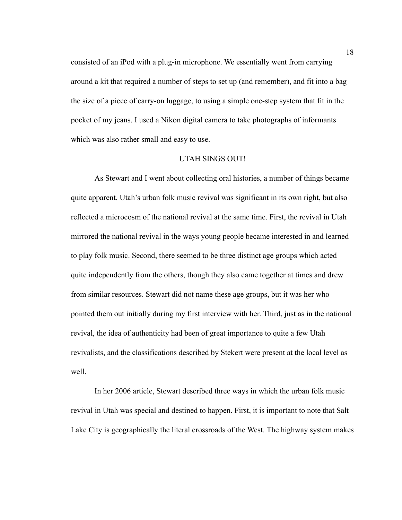consisted of an iPod with a plug-in microphone. We essentially went from carrying around a kit that required a number of steps to set up (and remember), and fit into a bag the size of a piece of carry-on luggage, to using a simple one-step system that fit in the pocket of my jeans. I used a Nikon digital camera to take photographs of informants which was also rather small and easy to use.

## UTAH SINGS OUT!

 As Stewart and I went about collecting oral histories, a number of things became quite apparent. Utah's urban folk music revival was significant in its own right, but also reflected a microcosm of the national revival at the same time. First, the revival in Utah mirrored the national revival in the ways young people became interested in and learned to play folk music. Second, there seemed to be three distinct age groups which acted quite independently from the others, though they also came together at times and drew from similar resources. Stewart did not name these age groups, but it was her who pointed them out initially during my first interview with her. Third, just as in the national revival, the idea of authenticity had been of great importance to quite a few Utah revivalists, and the classifications described by Stekert were present at the local level as well.

 In her 2006 article, Stewart described three ways in which the urban folk music revival in Utah was special and destined to happen. First, it is important to note that Salt Lake City is geographically the literal crossroads of the West. The highway system makes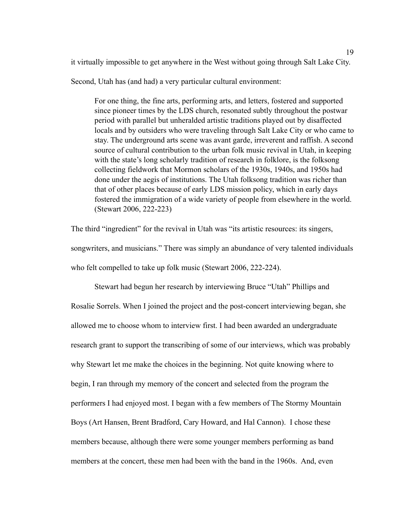it virtually impossible to get anywhere in the West without going through Salt Lake City.

Second, Utah has (and had) a very particular cultural environment:

 For one thing, the fine arts, performing arts, and letters, fostered and supported since pioneer times by the LDS church, resonated subtly throughout the postwar period with parallel but unheralded artistic traditions played out by disaffected locals and by outsiders who were traveling through Salt Lake City or who came to stay. The underground arts scene was avant garde, irreverent and raffish. A second source of cultural contribution to the urban folk music revival in Utah, in keeping with the state's long scholarly tradition of research in folklore, is the folksong collecting fieldwork that Mormon scholars of the 1930s, 1940s, and 1950s had done under the aegis of institutions. The Utah folksong tradition was richer than that of other places because of early LDS mission policy, which in early days fostered the immigration of a wide variety of people from elsewhere in the world. (Stewart 2006, 222-223)

The third "ingredient" for the revival in Utah was "its artistic resources: its singers, songwriters, and musicians." There was simply an abundance of very talented individuals who felt compelled to take up folk music (Stewart 2006, 222-224).

 Stewart had begun her research by interviewing Bruce "Utah" Phillips and Rosalie Sorrels. When I joined the project and the post-concert interviewing began, she allowed me to choose whom to interview first. I had been awarded an undergraduate research grant to support the transcribing of some of our interviews, which was probably why Stewart let me make the choices in the beginning. Not quite knowing where to begin, I ran through my memory of the concert and selected from the program the performers I had enjoyed most. I began with a few members of The Stormy Mountain Boys (Art Hansen, Brent Bradford, Cary Howard, and Hal Cannon). I chose these members because, although there were some younger members performing as band members at the concert, these men had been with the band in the 1960s. And, even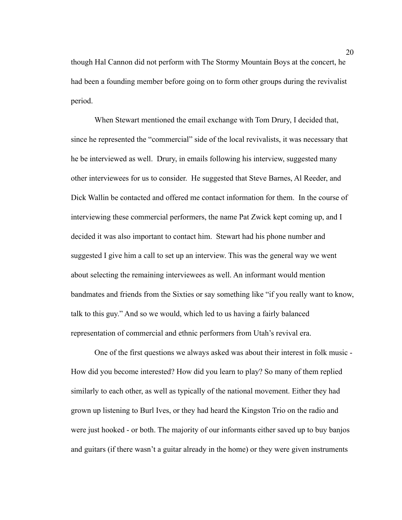though Hal Cannon did not perform with The Stormy Mountain Boys at the concert, he had been a founding member before going on to form other groups during the revivalist period.

 When Stewart mentioned the email exchange with Tom Drury, I decided that, since he represented the "commercial" side of the local revivalists, it was necessary that he be interviewed as well. Drury, in emails following his interview, suggested many other interviewees for us to consider. He suggested that Steve Barnes, Al Reeder, and Dick Wallin be contacted and offered me contact information for them. In the course of interviewing these commercial performers, the name Pat Zwick kept coming up, and I decided it was also important to contact him. Stewart had his phone number and suggested I give him a call to set up an interview. This was the general way we went about selecting the remaining interviewees as well. An informant would mention bandmates and friends from the Sixties or say something like "if you really want to know, talk to this guy." And so we would, which led to us having a fairly balanced representation of commercial and ethnic performers from Utah's revival era.

 One of the first questions we always asked was about their interest in folk music - How did you become interested? How did you learn to play? So many of them replied similarly to each other, as well as typically of the national movement. Either they had grown up listening to Burl Ives, or they had heard the Kingston Trio on the radio and were just hooked - or both. The majority of our informants either saved up to buy banjos and guitars (if there wasn't a guitar already in the home) or they were given instruments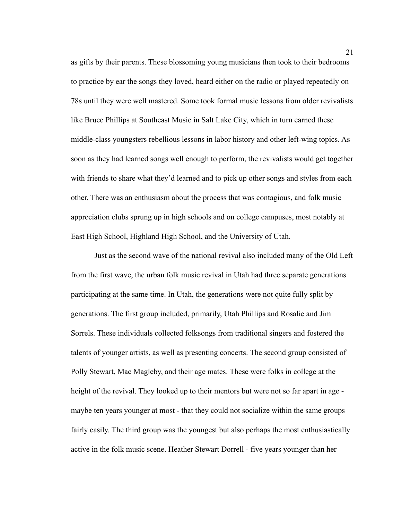as gifts by their parents. These blossoming young musicians then took to their bedrooms to practice by ear the songs they loved, heard either on the radio or played repeatedly on 78s until they were well mastered. Some took formal music lessons from older revivalists like Bruce Phillips at Southeast Music in Salt Lake City, which in turn earned these middle-class youngsters rebellious lessons in labor history and other left-wing topics. As soon as they had learned songs well enough to perform, the revivalists would get together with friends to share what they'd learned and to pick up other songs and styles from each other. There was an enthusiasm about the process that was contagious, and folk music appreciation clubs sprung up in high schools and on college campuses, most notably at East High School, Highland High School, and the University of Utah.

 Just as the second wave of the national revival also included many of the Old Left from the first wave, the urban folk music revival in Utah had three separate generations participating at the same time. In Utah, the generations were not quite fully split by generations. The first group included, primarily, Utah Phillips and Rosalie and Jim Sorrels. These individuals collected folksongs from traditional singers and fostered the talents of younger artists, as well as presenting concerts. The second group consisted of Polly Stewart, Mac Magleby, and their age mates. These were folks in college at the height of the revival. They looked up to their mentors but were not so far apart in age maybe ten years younger at most - that they could not socialize within the same groups fairly easily. The third group was the youngest but also perhaps the most enthusiastically active in the folk music scene. Heather Stewart Dorrell - five years younger than her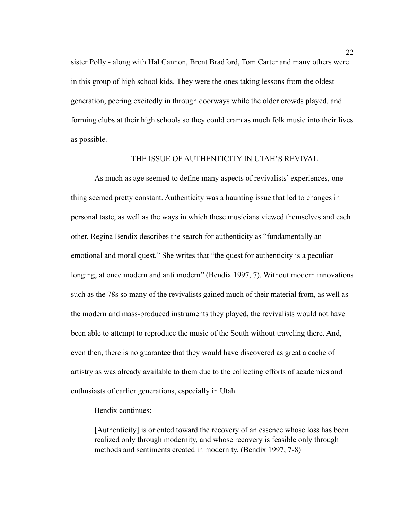sister Polly - along with Hal Cannon, Brent Bradford, Tom Carter and many others were in this group of high school kids. They were the ones taking lessons from the oldest generation, peering excitedly in through doorways while the older crowds played, and forming clubs at their high schools so they could cram as much folk music into their lives as possible.

## THE ISSUE OF AUTHENTICITY IN UTAH'S REVIVAL

 As much as age seemed to define many aspects of revivalists' experiences, one thing seemed pretty constant. Authenticity was a haunting issue that led to changes in personal taste, as well as the ways in which these musicians viewed themselves and each other. Regina Bendix describes the search for authenticity as "fundamentally an emotional and moral quest." She writes that "the quest for authenticity is a peculiar longing, at once modern and anti modern" (Bendix 1997, 7). Without modern innovations such as the 78s so many of the revivalists gained much of their material from, as well as the modern and mass-produced instruments they played, the revivalists would not have been able to attempt to reproduce the music of the South without traveling there. And, even then, there is no guarantee that they would have discovered as great a cache of artistry as was already available to them due to the collecting efforts of academics and enthusiasts of earlier generations, especially in Utah.

Bendix continues:

 [Authenticity] is oriented toward the recovery of an essence whose loss has been realized only through modernity, and whose recovery is feasible only through methods and sentiments created in modernity. (Bendix 1997, 7-8)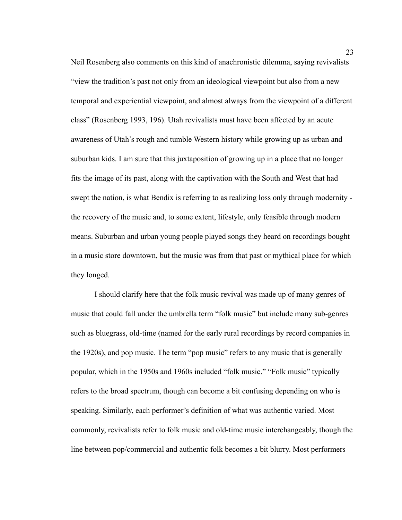Neil Rosenberg also comments on this kind of anachronistic dilemma, saying revivalists "view the tradition's past not only from an ideological viewpoint but also from a new temporal and experiential viewpoint, and almost always from the viewpoint of a different class" (Rosenberg 1993, 196). Utah revivalists must have been affected by an acute awareness of Utah's rough and tumble Western history while growing up as urban and suburban kids. I am sure that this juxtaposition of growing up in a place that no longer fits the image of its past, along with the captivation with the South and West that had swept the nation, is what Bendix is referring to as realizing loss only through modernity the recovery of the music and, to some extent, lifestyle, only feasible through modern means. Suburban and urban young people played songs they heard on recordings bought in a music store downtown, but the music was from that past or mythical place for which they longed.

 I should clarify here that the folk music revival was made up of many genres of music that could fall under the umbrella term "folk music" but include many sub-genres such as bluegrass, old-time (named for the early rural recordings by record companies in the 1920s), and pop music. The term "pop music" refers to any music that is generally popular, which in the 1950s and 1960s included "folk music." "Folk music" typically refers to the broad spectrum, though can become a bit confusing depending on who is speaking. Similarly, each performer's definition of what was authentic varied. Most commonly, revivalists refer to folk music and old-time music interchangeably, though the line between pop/commercial and authentic folk becomes a bit blurry. Most performers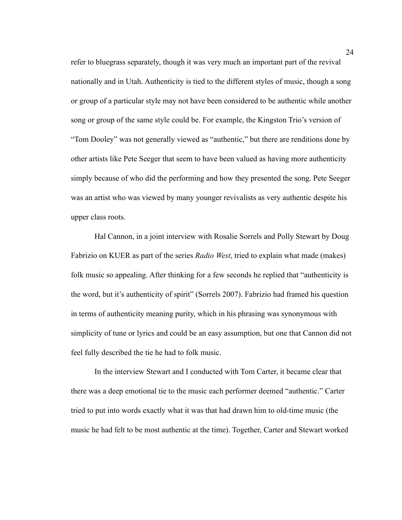refer to bluegrass separately, though it was very much an important part of the revival nationally and in Utah. Authenticity is tied to the different styles of music, though a song or group of a particular style may not have been considered to be authentic while another song or group of the same style could be. For example, the Kingston Trio's version of "Tom Dooley" was not generally viewed as "authentic," but there are renditions done by other artists like Pete Seeger that seem to have been valued as having more authenticity simply because of who did the performing and how they presented the song. Pete Seeger was an artist who was viewed by many younger revivalists as very authentic despite his upper class roots.

 Hal Cannon, in a joint interview with Rosalie Sorrels and Polly Stewart by Doug Fabrizio on KUER as part of the series *Radio West*, tried to explain what made (makes) folk music so appealing. After thinking for a few seconds he replied that "authenticity is the word, but it's authenticity of spirit" (Sorrels 2007). Fabrizio had framed his question in terms of authenticity meaning purity, which in his phrasing was synonymous with simplicity of tune or lyrics and could be an easy assumption, but one that Cannon did not feel fully described the tie he had to folk music.

 In the interview Stewart and I conducted with Tom Carter, it became clear that there was a deep emotional tie to the music each performer deemed "authentic." Carter tried to put into words exactly what it was that had drawn him to old-time music (the music he had felt to be most authentic at the time). Together, Carter and Stewart worked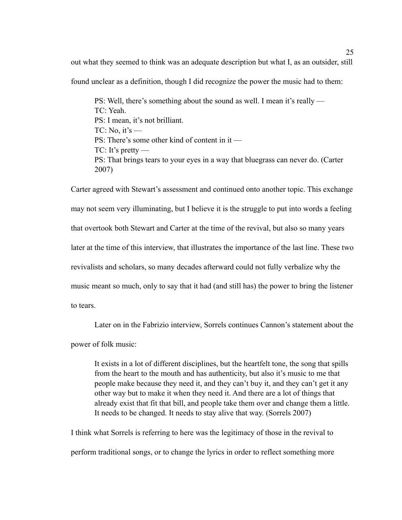out what they seemed to think was an adequate description but what I, as an outsider, still

found unclear as a definition, though I did recognize the power the music had to them:

 PS: Well, there's something about the sound as well. I mean it's really — TC: Yeah. PS: I mean, it's not brilliant.  $TC: No, it's$  — PS: There's some other kind of content in it —  $TC: It's pretty$  PS: That brings tears to your eyes in a way that bluegrass can never do. (Carter 2007)

Carter agreed with Stewart's assessment and continued onto another topic. This exchange may not seem very illuminating, but I believe it is the struggle to put into words a feeling that overtook both Stewart and Carter at the time of the revival, but also so many years later at the time of this interview, that illustrates the importance of the last line. These two revivalists and scholars, so many decades afterward could not fully verbalize why the music meant so much, only to say that it had (and still has) the power to bring the listener to tears.

 Later on in the Fabrizio interview, Sorrels continues Cannon's statement about the power of folk music:

 It exists in a lot of different disciplines, but the heartfelt tone, the song that spills from the heart to the mouth and has authenticity, but also it's music to me that people make because they need it, and they can't buy it, and they can't get it any other way but to make it when they need it. And there are a lot of things that already exist that fit that bill, and people take them over and change them a little. It needs to be changed. It needs to stay alive that way. (Sorrels 2007)

I think what Sorrels is referring to here was the legitimacy of those in the revival to perform traditional songs, or to change the lyrics in order to reflect something more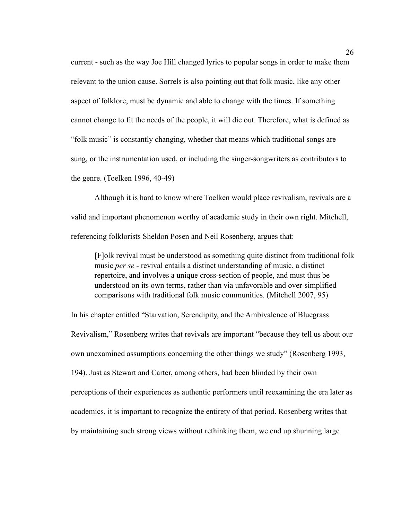current - such as the way Joe Hill changed lyrics to popular songs in order to make them relevant to the union cause. Sorrels is also pointing out that folk music, like any other aspect of folklore, must be dynamic and able to change with the times. If something cannot change to fit the needs of the people, it will die out. Therefore, what is defined as "folk music" is constantly changing, whether that means which traditional songs are sung, or the instrumentation used, or including the singer-songwriters as contributors to the genre. (Toelken 1996, 40-49)

 Although it is hard to know where Toelken would place revivalism, revivals are a valid and important phenomenon worthy of academic study in their own right. Mitchell, referencing folklorists Sheldon Posen and Neil Rosenberg, argues that:

 [F]olk revival must be understood as something quite distinct from traditional folk music *per se* - revival entails a distinct understanding of music, a distinct repertoire, and involves a unique cross-section of people, and must thus be understood on its own terms, rather than via unfavorable and over-simplified comparisons with traditional folk music communities. (Mitchell 2007, 95)

In his chapter entitled "Starvation, Serendipity, and the Ambivalence of Bluegrass Revivalism," Rosenberg writes that revivals are important "because they tell us about our own unexamined assumptions concerning the other things we study" (Rosenberg 1993, 194). Just as Stewart and Carter, among others, had been blinded by their own perceptions of their experiences as authentic performers until reexamining the era later as academics, it is important to recognize the entirety of that period. Rosenberg writes that by maintaining such strong views without rethinking them, we end up shunning large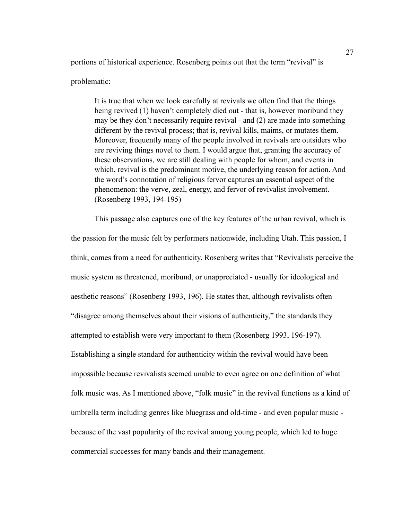portions of historical experience. Rosenberg points out that the term "revival" is

#### problematic:

 It is true that when we look carefully at revivals we often find that the things being revived (1) haven't completely died out - that is, however moribund they may be they don't necessarily require revival - and (2) are made into something different by the revival process; that is, revival kills, maims, or mutates them. Moreover, frequently many of the people involved in revivals are outsiders who are reviving things novel to them. I would argue that, granting the accuracy of these observations, we are still dealing with people for whom, and events in which, revival is the predominant motive, the underlying reason for action. And the word's connotation of religious fervor captures an essential aspect of the phenomenon: the verve, zeal, energy, and fervor of revivalist involvement. (Rosenberg 1993, 194-195)

 This passage also captures one of the key features of the urban revival, which is the passion for the music felt by performers nationwide, including Utah. This passion, I think, comes from a need for authenticity. Rosenberg writes that "Revivalists perceive the music system as threatened, moribund, or unappreciated - usually for ideological and aesthetic reasons" (Rosenberg 1993, 196). He states that, although revivalists often "disagree among themselves about their visions of authenticity," the standards they attempted to establish were very important to them (Rosenberg 1993, 196-197). Establishing a single standard for authenticity within the revival would have been impossible because revivalists seemed unable to even agree on one definition of what folk music was. As I mentioned above, "folk music" in the revival functions as a kind of umbrella term including genres like bluegrass and old-time - and even popular music because of the vast popularity of the revival among young people, which led to huge commercial successes for many bands and their management.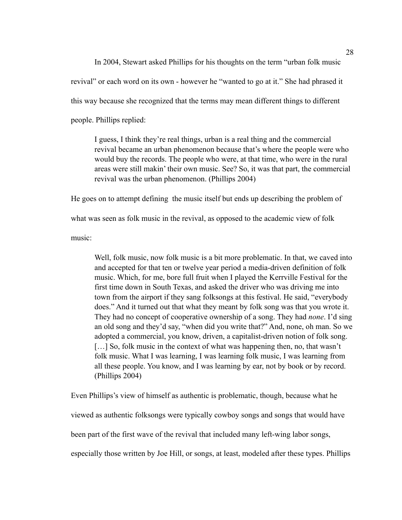In 2004, Stewart asked Phillips for his thoughts on the term "urban folk music revival" or each word on its own - however he "wanted to go at it." She had phrased it this way because she recognized that the terms may mean different things to different people. Phillips replied:

 I guess, I think they're real things, urban is a real thing and the commercial revival became an urban phenomenon because that's where the people were who would buy the records. The people who were, at that time, who were in the rural areas were still makin' their own music. See? So, it was that part, the commercial revival was the urban phenomenon. (Phillips 2004)

He goes on to attempt defining the music itself but ends up describing the problem of

what was seen as folk music in the revival, as opposed to the academic view of folk

music:

 Well, folk music, now folk music is a bit more problematic. In that, we caved into and accepted for that ten or twelve year period a media-driven definition of folk music. Which, for me, bore full fruit when I played the Kerrville Festival for the first time down in South Texas, and asked the driver who was driving me into town from the airport if they sang folksongs at this festival. He said, "everybody does." And it turned out that what they meant by folk song was that you wrote it. They had no concept of cooperative ownership of a song. They had *none*. I'd sing an old song and they'd say, "when did you write that?" And, none, oh man. So we adopted a commercial, you know, driven, a capitalist-driven notion of folk song. [...] So, folk music in the context of what was happening then, no, that wasn't folk music. What I was learning, I was learning folk music, I was learning from all these people. You know, and I was learning by ear, not by book or by record. (Phillips 2004)

Even Phillips's view of himself as authentic is problematic, though, because what he viewed as authentic folksongs were typically cowboy songs and songs that would have been part of the first wave of the revival that included many left-wing labor songs, especially those written by Joe Hill, or songs, at least, modeled after these types. Phillips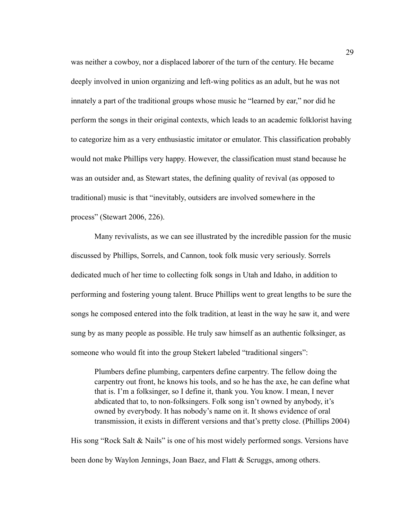was neither a cowboy, nor a displaced laborer of the turn of the century. He became deeply involved in union organizing and left-wing politics as an adult, but he was not innately a part of the traditional groups whose music he "learned by ear," nor did he perform the songs in their original contexts, which leads to an academic folklorist having to categorize him as a very enthusiastic imitator or emulator. This classification probably would not make Phillips very happy. However, the classification must stand because he was an outsider and, as Stewart states, the defining quality of revival (as opposed to traditional) music is that "inevitably, outsiders are involved somewhere in the process" (Stewart 2006, 226).

 Many revivalists, as we can see illustrated by the incredible passion for the music discussed by Phillips, Sorrels, and Cannon, took folk music very seriously. Sorrels dedicated much of her time to collecting folk songs in Utah and Idaho, in addition to performing and fostering young talent. Bruce Phillips went to great lengths to be sure the songs he composed entered into the folk tradition, at least in the way he saw it, and were sung by as many people as possible. He truly saw himself as an authentic folksinger, as someone who would fit into the group Stekert labeled "traditional singers":

 Plumbers define plumbing, carpenters define carpentry. The fellow doing the carpentry out front, he knows his tools, and so he has the axe, he can define what that is. I'm a folksinger, so I define it, thank you. You know. I mean, I never abdicated that to, to non-folksingers. Folk song isn't owned by anybody, it's owned by everybody. It has nobody's name on it. It shows evidence of oral transmission, it exists in different versions and that's pretty close. (Phillips 2004)

His song "Rock Salt & Nails" is one of his most widely performed songs. Versions have been done by Waylon Jennings, Joan Baez, and Flatt & Scruggs, among others.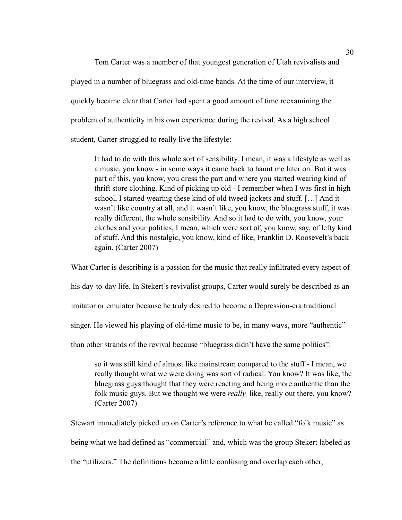Tom Carter was a member of that youngest generation of Utah revivalists and played in a number of bluegrass and old-time bands. At the time of our interview, it quickly became clear that Carter had spent a good amount of time reexamining the problem of authenticity in his own experience during the revival. As a high school student, Carter struggled to really live the lifestyle:

 It had to do with this whole sort of sensibility. I mean, it was a lifestyle as well as a music, you know - in some ways it came back to haunt me later on. But it was part of this, you know, you dress the part and where you started wearing kind of thrift store clothing. Kind of picking up old - I remember when I was first in high school, I started wearing these kind of old tweed jackets and stuff. […] And it wasn't like country at all, and it wasn't like, you know, the bluegrass stuff, it was really different, the whole sensibility. And so it had to do with, you know, your clothes and your politics, I mean, which were sort of, you know, say, of lefty kind of stuff. And this nostalgic, you know, kind of like, Franklin D. Roosevelt's back again. (Carter 2007)

What Carter is describing is a passion for the music that really infiltrated every aspect of his day-to-day life. In Stekert's revivalist groups, Carter would surely be described as an imitator or emulator because he truly desired to become a Depression-era traditional singer. He viewed his playing of old-time music to be, in many ways, more "authentic"

than other strands of the revival because "bluegrass didn't have the same politics":

 so it was still kind of almost like mainstream compared to the stuff - I mean, we really thought what we were doing was sort of radical. You know? It was like, the bluegrass guys thought that they were reacting and being more authentic than the folk music guys. But we thought we were *really,* like, really out there, you know? (Carter 2007)

Stewart immediately picked up on Carter's reference to what he called "folk music" as being what we had defined as "commercial" and, which was the group Stekert labeled as the "utilizers." The definitions become a little confusing and overlap each other,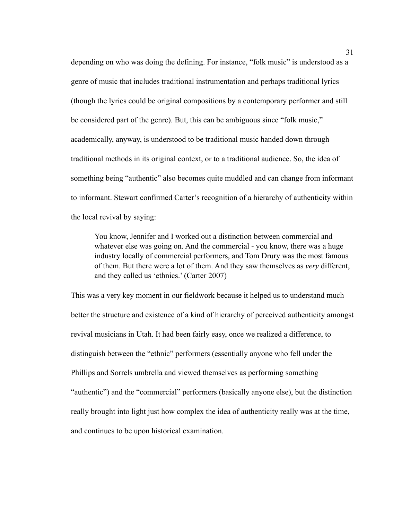depending on who was doing the defining. For instance, "folk music" is understood as a genre of music that includes traditional instrumentation and perhaps traditional lyrics (though the lyrics could be original compositions by a contemporary performer and still be considered part of the genre). But, this can be ambiguous since "folk music," academically, anyway, is understood to be traditional music handed down through traditional methods in its original context, or to a traditional audience. So, the idea of something being "authentic" also becomes quite muddled and can change from informant to informant. Stewart confirmed Carter's recognition of a hierarchy of authenticity within the local revival by saying:

 You know, Jennifer and I worked out a distinction between commercial and whatever else was going on. And the commercial - you know, there was a huge industry locally of commercial performers, and Tom Drury was the most famous of them. But there were a lot of them. And they saw themselves as *very* different, and they called us 'ethnics.' (Carter 2007)

This was a very key moment in our fieldwork because it helped us to understand much better the structure and existence of a kind of hierarchy of perceived authenticity amongst revival musicians in Utah. It had been fairly easy, once we realized a difference, to distinguish between the "ethnic" performers (essentially anyone who fell under the Phillips and Sorrels umbrella and viewed themselves as performing something "authentic") and the "commercial" performers (basically anyone else), but the distinction really brought into light just how complex the idea of authenticity really was at the time, and continues to be upon historical examination.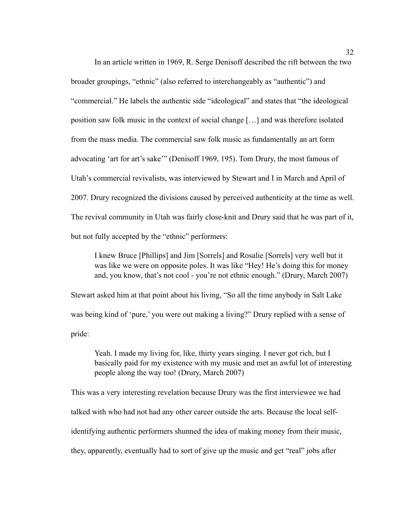In an article written in 1969, R. Serge Denisoff described the rift between the two broader groupings, "ethnic" (also referred to interchangeably as "authentic") and "commercial." He labels the authentic side "ideological" and states that "the ideological position saw folk music in the context of social change […] and was therefore isolated from the mass media. The commercial saw folk music as fundamentally an art form advocating 'art for art's sake'" (Denisoff 1969, 195). Tom Drury, the most famous of Utah's commercial revivalists, was interviewed by Stewart and I in March and April of 2007. Drury recognized the divisions caused by perceived authenticity at the time as well. The revival community in Utah was fairly close-knit and Drury said that he was part of it, but not fully accepted by the "ethnic" performers:

 I knew Bruce [Phillips] and Jim [Sorrels] and Rosalie [Sorrels] very well but it was like we were on opposite poles. It was like "Hey! He's doing this for money and, you know, that's not cool - you're not ethnic enough." (Drury, March 2007)

Stewart asked him at that point about his living, "So all the time anybody in Salt Lake was being kind of 'pure,' you were out making a living?" Drury replied with a sense of pride:

 Yeah. I made my living for, like, thirty years singing. I never got rich, but I basically paid for my existence with my music and met an awful lot of interesting people along the way too! (Drury, March 2007)

This was a very interesting revelation because Drury was the first interviewee we had talked with who had not had any other career outside the arts. Because the local selfidentifying authentic performers shunned the idea of making money from their music, they, apparently, eventually had to sort of give up the music and get "real" jobs after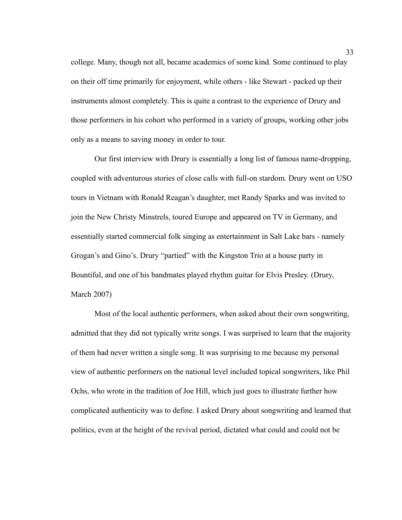college. Many, though not all, became academics of some kind. Some continued to play on their off time primarily for enjoyment, while others - like Stewart - packed up their instruments almost completely. This is quite a contrast to the experience of Drury and those performers in his cohort who performed in a variety of groups, working other jobs only as a means to saving money in order to tour.

 Our first interview with Drury is essentially a long list of famous name-dropping, coupled with adventurous stories of close calls with full-on stardom. Drury went on USO tours in Vietnam with Ronald Reagan's daughter, met Randy Sparks and was invited to join the New Christy Minstrels, toured Europe and appeared on TV in Germany, and essentially started commercial folk singing as entertainment in Salt Lake bars - namely Grogan's and Gino's. Drury "partied" with the Kingston Trio at a house party in Bountiful, and one of his bandmates played rhythm guitar for Elvis Presley. (Drury, March 2007)

 Most of the local authentic performers, when asked about their own songwriting, admitted that they did not typically write songs. I was surprised to learn that the majority of them had never written a single song. It was surprising to me because my personal view of authentic performers on the national level included topical songwriters, like Phil Ochs, who wrote in the tradition of Joe Hill, which just goes to illustrate further how complicated authenticity was to define. I asked Drury about songwriting and learned that politics, even at the height of the revival period, dictated what could and could not be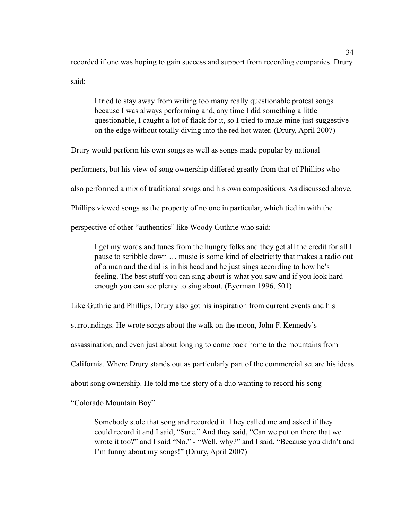recorded if one was hoping to gain success and support from recording companies. Drury said:

 I tried to stay away from writing too many really questionable protest songs because I was always performing and, any time I did something a little questionable, I caught a lot of flack for it, so I tried to make mine just suggestive on the edge without totally diving into the red hot water. (Drury, April 2007)

Drury would perform his own songs as well as songs made popular by national performers, but his view of song ownership differed greatly from that of Phillips who also performed a mix of traditional songs and his own compositions. As discussed above, Phillips viewed songs as the property of no one in particular, which tied in with the perspective of other "authentics" like Woody Guthrie who said:

 I get my words and tunes from the hungry folks and they get all the credit for all I pause to scribble down … music is some kind of electricity that makes a radio out of a man and the dial is in his head and he just sings according to how he's feeling. The best stuff you can sing about is what you saw and if you look hard enough you can see plenty to sing about. (Eyerman 1996, 501)

Like Guthrie and Phillips, Drury also got his inspiration from current events and his

surroundings. He wrote songs about the walk on the moon, John F. Kennedy's

assassination, and even just about longing to come back home to the mountains from

California. Where Drury stands out as particularly part of the commercial set are his ideas

about song ownership. He told me the story of a duo wanting to record his song

"Colorado Mountain Boy":

 Somebody stole that song and recorded it. They called me and asked if they could record it and I said, "Sure." And they said, "Can we put on there that we wrote it too?" and I said "No." - "Well, why?" and I said, "Because you didn't and I'm funny about my songs!" (Drury, April 2007)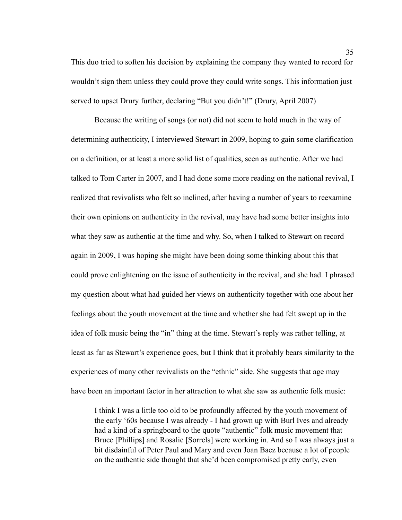This duo tried to soften his decision by explaining the company they wanted to record for wouldn't sign them unless they could prove they could write songs. This information just served to upset Drury further, declaring "But you didn't!" (Drury, April 2007)

 Because the writing of songs (or not) did not seem to hold much in the way of determining authenticity, I interviewed Stewart in 2009, hoping to gain some clarification on a definition, or at least a more solid list of qualities, seen as authentic. After we had talked to Tom Carter in 2007, and I had done some more reading on the national revival, I realized that revivalists who felt so inclined, after having a number of years to reexamine their own opinions on authenticity in the revival, may have had some better insights into what they saw as authentic at the time and why. So, when I talked to Stewart on record again in 2009, I was hoping she might have been doing some thinking about this that could prove enlightening on the issue of authenticity in the revival, and she had. I phrased my question about what had guided her views on authenticity together with one about her feelings about the youth movement at the time and whether she had felt swept up in the idea of folk music being the "in" thing at the time. Stewart's reply was rather telling, at least as far as Stewart's experience goes, but I think that it probably bears similarity to the experiences of many other revivalists on the "ethnic" side. She suggests that age may have been an important factor in her attraction to what she saw as authentic folk music:

 I think I was a little too old to be profoundly affected by the youth movement of the early '60s because I was already - I had grown up with Burl Ives and already had a kind of a springboard to the quote "authentic" folk music movement that Bruce [Phillips] and Rosalie [Sorrels] were working in. And so I was always just a bit disdainful of Peter Paul and Mary and even Joan Baez because a lot of people on the authentic side thought that she'd been compromised pretty early, even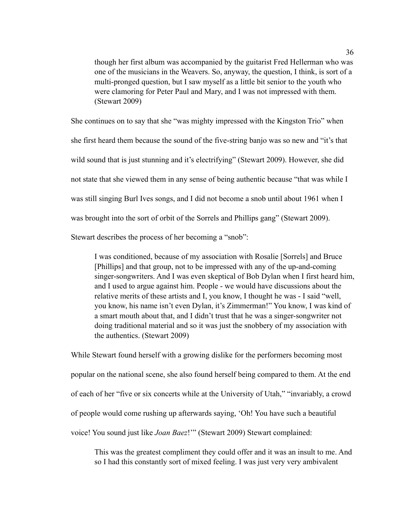though her first album was accompanied by the guitarist Fred Hellerman who was one of the musicians in the Weavers. So, anyway, the question, I think, is sort of a multi-pronged question, but I saw myself as a little bit senior to the youth who were clamoring for Peter Paul and Mary, and I was not impressed with them. (Stewart 2009)

She continues on to say that she "was mighty impressed with the Kingston Trio" when she first heard them because the sound of the five-string banjo was so new and "it's that wild sound that is just stunning and it's electrifying" (Stewart 2009). However, she did not state that she viewed them in any sense of being authentic because "that was while I was still singing Burl Ives songs, and I did not become a snob until about 1961 when I was brought into the sort of orbit of the Sorrels and Phillips gang" (Stewart 2009). Stewart describes the process of her becoming a "snob":

 I was conditioned, because of my association with Rosalie [Sorrels] and Bruce [Phillips] and that group, not to be impressed with any of the up-and-coming singer-songwriters. And I was even skeptical of Bob Dylan when I first heard him, and I used to argue against him. People - we would have discussions about the relative merits of these artists and I, you know, I thought he was - I said "well, you know, his name isn't even Dylan, it's Zimmerman!" You know, I was kind of a smart mouth about that, and I didn't trust that he was a singer-songwriter not doing traditional material and so it was just the snobbery of my association with

While Stewart found herself with a growing dislike for the performers becoming most popular on the national scene, she also found herself being compared to them. At the end of each of her "five or six concerts while at the University of Utah," "invariably, a crowd of people would come rushing up afterwards saying, 'Oh! You have such a beautiful voice! You sound just like *Joan Baez*!'" (Stewart 2009) Stewart complained:

the authentics. (Stewart 2009)

 This was the greatest compliment they could offer and it was an insult to me. And so I had this constantly sort of mixed feeling. I was just very very ambivalent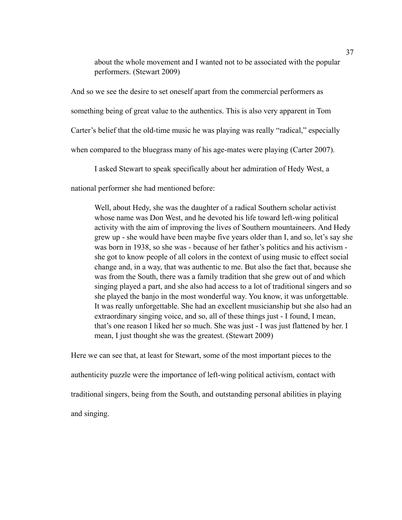about the whole movement and I wanted not to be associated with the popular performers. (Stewart 2009)

And so we see the desire to set oneself apart from the commercial performers as something being of great value to the authentics. This is also very apparent in Tom Carter's belief that the old-time music he was playing was really "radical," especially when compared to the bluegrass many of his age-mates were playing (Carter 2007).

I asked Stewart to speak specifically about her admiration of Hedy West, a

national performer she had mentioned before:

 Well, about Hedy, she was the daughter of a radical Southern scholar activist whose name was Don West, and he devoted his life toward left-wing political activity with the aim of improving the lives of Southern mountaineers. And Hedy grew up - she would have been maybe five years older than I, and so, let's say she was born in 1938, so she was - because of her father's politics and his activism she got to know people of all colors in the context of using music to effect social change and, in a way, that was authentic to me. But also the fact that, because she was from the South, there was a family tradition that she grew out of and which singing played a part, and she also had access to a lot of traditional singers and so she played the banjo in the most wonderful way. You know, it was unforgettable. It was really unforgettable. She had an excellent musicianship but she also had an extraordinary singing voice, and so, all of these things just - I found, I mean, that's one reason I liked her so much. She was just - I was just flattened by her. I mean, I just thought she was the greatest. (Stewart 2009)

Here we can see that, at least for Stewart, some of the most important pieces to the authenticity puzzle were the importance of left-wing political activism, contact with traditional singers, being from the South, and outstanding personal abilities in playing and singing.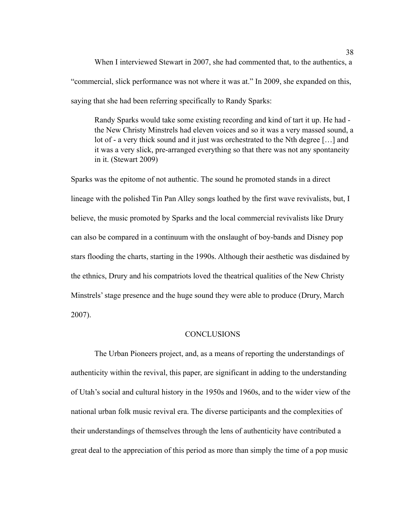When I interviewed Stewart in 2007, she had commented that, to the authentics, a "commercial, slick performance was not where it was at." In 2009, she expanded on this, saying that she had been referring specifically to Randy Sparks:

 Randy Sparks would take some existing recording and kind of tart it up. He had the New Christy Minstrels had eleven voices and so it was a very massed sound, a lot of - a very thick sound and it just was orchestrated to the Nth degree […] and it was a very slick, pre-arranged everything so that there was not any spontaneity in it. (Stewart 2009)

Sparks was the epitome of not authentic. The sound he promoted stands in a direct lineage with the polished Tin Pan Alley songs loathed by the first wave revivalists, but, I believe, the music promoted by Sparks and the local commercial revivalists like Drury can also be compared in a continuum with the onslaught of boy-bands and Disney pop stars flooding the charts, starting in the 1990s. Although their aesthetic was disdained by the ethnics, Drury and his compatriots loved the theatrical qualities of the New Christy Minstrels' stage presence and the huge sound they were able to produce (Drury, March 2007).

#### **CONCLUSIONS**

 The Urban Pioneers project, and, as a means of reporting the understandings of authenticity within the revival, this paper, are significant in adding to the understanding of Utah's social and cultural history in the 1950s and 1960s, and to the wider view of the national urban folk music revival era. The diverse participants and the complexities of their understandings of themselves through the lens of authenticity have contributed a great deal to the appreciation of this period as more than simply the time of a pop music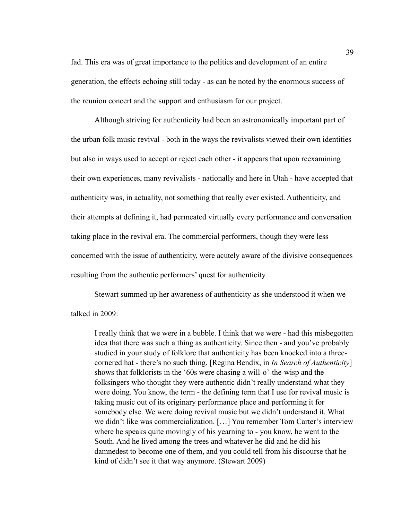fad. This era was of great importance to the politics and development of an entire generation, the effects echoing still today - as can be noted by the enormous success of the reunion concert and the support and enthusiasm for our project.

Although striving for authenticity had been an astronomically important part of the urban folk music revival - both in the ways the revivalists viewed their own identities but also in ways used to accept or reject each other - it appears that upon reexamining their own experiences, many revivalists - nationally and here in Utah - have accepted that authenticity was, in actuality, not something that really ever existed. Authenticity, and their attempts at defining it, had permeated virtually every performance and conversation taking place in the revival era. The commercial performers, though they were less concerned with the issue of authenticity, were acutely aware of the divisive consequences resulting from the authentic performers' quest for authenticity.

 Stewart summed up her awareness of authenticity as she understood it when we talked in 2009:

 I really think that we were in a bubble. I think that we were - had this misbegotten idea that there was such a thing as authenticity. Since then - and you've probably studied in your study of folklore that authenticity has been knocked into a three cornered hat - there's no such thing. [Regina Bendix, in *In Search of Authenticity*] shows that folklorists in the '60s were chasing a will-o'-the-wisp and the folksingers who thought they were authentic didn't really understand what they were doing. You know, the term - the defining term that I use for revival music is taking music out of its originary performance place and performing it for somebody else. We were doing revival music but we didn't understand it. What we didn't like was commercialization. […] You remember Tom Carter's interview where he speaks quite movingly of his yearning to - you know, he went to the South. And he lived among the trees and whatever he did and he did his damnedest to become one of them, and you could tell from his discourse that he kind of didn't see it that way anymore. (Stewart 2009)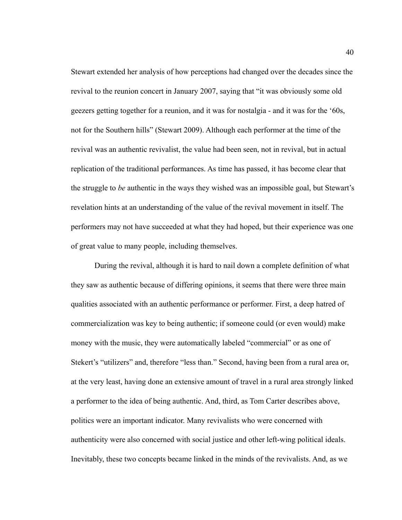Stewart extended her analysis of how perceptions had changed over the decades since the revival to the reunion concert in January 2007, saying that "it was obviously some old geezers getting together for a reunion, and it was for nostalgia - and it was for the '60s, not for the Southern hills" (Stewart 2009). Although each performer at the time of the revival was an authentic revivalist, the value had been seen, not in revival, but in actual replication of the traditional performances. As time has passed, it has become clear that the struggle to *be* authentic in the ways they wished was an impossible goal, but Stewart's revelation hints at an understanding of the value of the revival movement in itself. The performers may not have succeeded at what they had hoped, but their experience was one of great value to many people, including themselves.

 During the revival, although it is hard to nail down a complete definition of what they saw as authentic because of differing opinions, it seems that there were three main qualities associated with an authentic performance or performer. First, a deep hatred of commercialization was key to being authentic; if someone could (or even would) make money with the music, they were automatically labeled "commercial" or as one of Stekert's "utilizers" and, therefore "less than." Second, having been from a rural area or, at the very least, having done an extensive amount of travel in a rural area strongly linked a performer to the idea of being authentic. And, third, as Tom Carter describes above, politics were an important indicator. Many revivalists who were concerned with authenticity were also concerned with social justice and other left-wing political ideals. Inevitably, these two concepts became linked in the minds of the revivalists. And, as we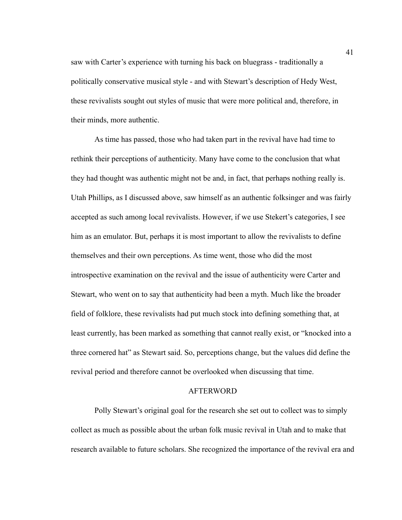saw with Carter's experience with turning his back on bluegrass - traditionally a politically conservative musical style - and with Stewart's description of Hedy West, these revivalists sought out styles of music that were more political and, therefore, in their minds, more authentic.

 As time has passed, those who had taken part in the revival have had time to rethink their perceptions of authenticity. Many have come to the conclusion that what they had thought was authentic might not be and, in fact, that perhaps nothing really is. Utah Phillips, as I discussed above, saw himself as an authentic folksinger and was fairly accepted as such among local revivalists. However, if we use Stekert's categories, I see him as an emulator. But, perhaps it is most important to allow the revivalists to define themselves and their own perceptions. As time went, those who did the most introspective examination on the revival and the issue of authenticity were Carter and Stewart, who went on to say that authenticity had been a myth. Much like the broader field of folklore, these revivalists had put much stock into defining something that, at least currently, has been marked as something that cannot really exist, or "knocked into a three cornered hat" as Stewart said. So, perceptions change, but the values did define the revival period and therefore cannot be overlooked when discussing that time.

## AFTERWORD

Polly Stewart's original goal for the research she set out to collect was to simply collect as much as possible about the urban folk music revival in Utah and to make that research available to future scholars. She recognized the importance of the revival era and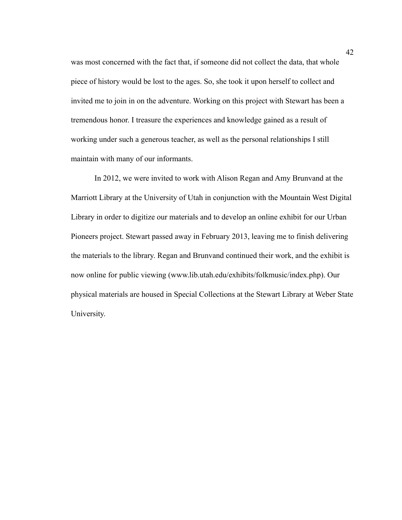was most concerned with the fact that, if someone did not collect the data, that whole piece of history would be lost to the ages. So, she took it upon herself to collect and invited me to join in on the adventure. Working on this project with Stewart has been a tremendous honor. I treasure the experiences and knowledge gained as a result of working under such a generous teacher, as well as the personal relationships I still maintain with many of our informants.

 In 2012, we were invited to work with Alison Regan and Amy Brunvand at the Marriott Library at the University of Utah in conjunction with the Mountain West Digital Library in order to digitize our materials and to develop an online exhibit for our Urban Pioneers project. Stewart passed away in February 2013, leaving me to finish delivering the materials to the library. Regan and Brunvand continued their work, and the exhibit is now online for public viewing (www.lib.utah.edu/exhibits/folkmusic/index.php). Our physical materials are housed in Special Collections at the Stewart Library at Weber State University.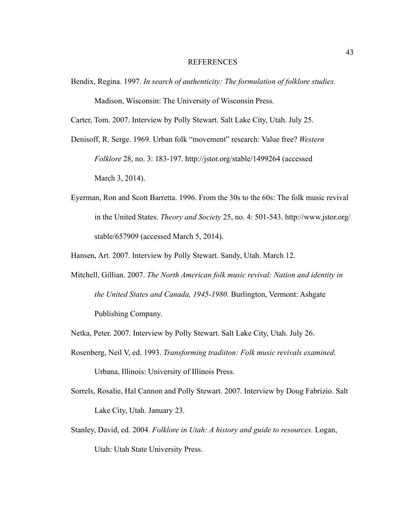#### REFERENCES

Bendix, Regina. 1997. *In search of authenticity: The formulation of folklore studies.* Madison, Wisconsin: The University of Wisconsin Press.

Carter, Tom. 2007. Interview by Polly Stewart. Salt Lake City, Utah. July 25.

- Denisoff, R. Serge. 1969. Urban folk "movement" research: Value free? *Western Folklore* 28, no. 3: 183-197. http://jstor.org/stable/1499264 (accessed March 3, 2014).
- Eyerman, Ron and Scott Barretta. 1996. From the 30s to the 60s: The folk music revival in the United States. *Theory and Society* 25, no. 4: 501-543.<http://www.jstor.org/> stable/657909 (accessed March 5, 2014).
- Hansen, Art. 2007. Interview by Polly Stewart. Sandy, Utah. March 12.
- Mitchell, Gillian. 2007. *The North American folk music revival: Nation and identity in the United States and Canada, 1945-1980.* Burlington, Vermont: Ashgate Publishing Company.
- Netka, Peter. 2007. Interview by Polly Stewart. Salt Lake City, Utah. July 26.
- Rosenberg, Neil V, ed. 1993. *Transforming tradiiton: Folk music revivals examined*. Urbana, Illinois: University of Illinois Press.
- Sorrels, Rosalie, Hal Cannon and Polly Stewart. 2007. Interview by Doug Fabrizio. Salt Lake City, Utah. January 23.
- Stanley, David, ed. 2004. *Folklore in Utah: A history and guide to resources.* Logan, Utah: Utah State University Press.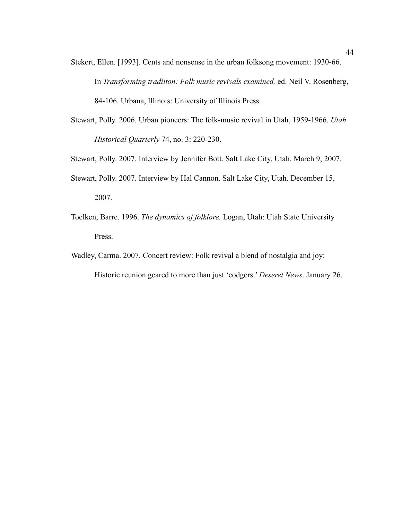- Stekert, Ellen. [1993]. Cents and nonsense in the urban folksong movement: 1930-66. In *Transforming tradiiton: Folk music revivals examined,* ed. Neil V. Rosenberg, 84-106. Urbana, Illinois: University of Illinois Press.
- Stewart, Polly. 2006. Urban pioneers: The folk-music revival in Utah, 1959-1966. *Utah Historical Quarterly* 74, no. 3: 220-230.
- Stewart, Polly. 2007. Interview by Jennifer Bott. Salt Lake City, Utah. March 9, 2007.
- Stewart, Polly. 2007. Interview by Hal Cannon. Salt Lake City, Utah. December 15, 2007.
- Toelken, Barre. 1996. *The dynamics of folklore.* Logan, Utah: Utah State University Press.
- Wadley, Carma. 2007. Concert review: Folk revival a blend of nostalgia and joy:

Historic reunion geared to more than just 'codgers.' *Deseret News*. January 26.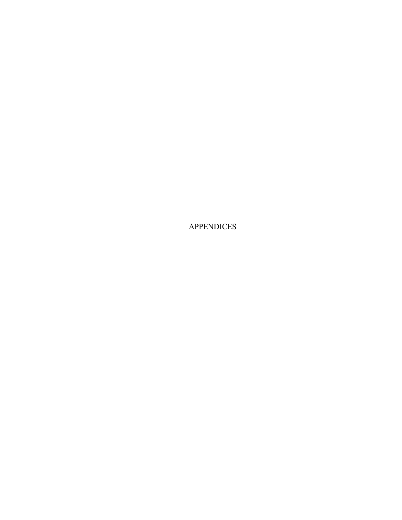APPENDICES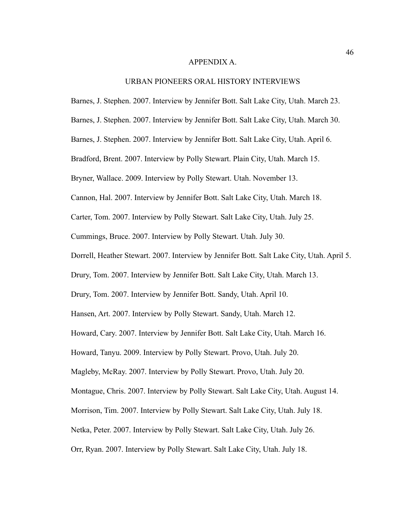#### APPENDIX A.

#### URBAN PIONEERS ORAL HISTORY INTERVIEWS

Barnes, J. Stephen. 2007. Interview by Jennifer Bott. Salt Lake City, Utah. March 23.

Barnes, J. Stephen. 2007. Interview by Jennifer Bott. Salt Lake City, Utah. March 30.

Barnes, J. Stephen. 2007. Interview by Jennifer Bott. Salt Lake City, Utah. April 6.

Bradford, Brent. 2007. Interview by Polly Stewart. Plain City, Utah. March 15.

Bryner, Wallace. 2009. Interview by Polly Stewart. Utah. November 13.

Cannon, Hal. 2007. Interview by Jennifer Bott. Salt Lake City, Utah. March 18.

Carter, Tom. 2007. Interview by Polly Stewart. Salt Lake City, Utah. July 25.

Cummings, Bruce. 2007. Interview by Polly Stewart. Utah. July 30.

Dorrell, Heather Stewart. 2007. Interview by Jennifer Bott. Salt Lake City, Utah. April 5.

Drury, Tom. 2007. Interview by Jennifer Bott. Salt Lake City, Utah. March 13.

Drury, Tom. 2007. Interview by Jennifer Bott. Sandy, Utah. April 10.

Hansen, Art. 2007. Interview by Polly Stewart. Sandy, Utah. March 12.

Howard, Cary. 2007. Interview by Jennifer Bott. Salt Lake City, Utah. March 16.

Howard, Tanyu. 2009. Interview by Polly Stewart. Provo, Utah. July 20.

Magleby, McRay. 2007. Interview by Polly Stewart. Provo, Utah. July 20.

Montague, Chris. 2007. Interview by Polly Stewart. Salt Lake City, Utah. August 14.

Morrison, Tim. 2007. Interview by Polly Stewart. Salt Lake City, Utah. July 18.

Netka, Peter. 2007. Interview by Polly Stewart. Salt Lake City, Utah. July 26.

Orr, Ryan. 2007. Interview by Polly Stewart. Salt Lake City, Utah. July 18.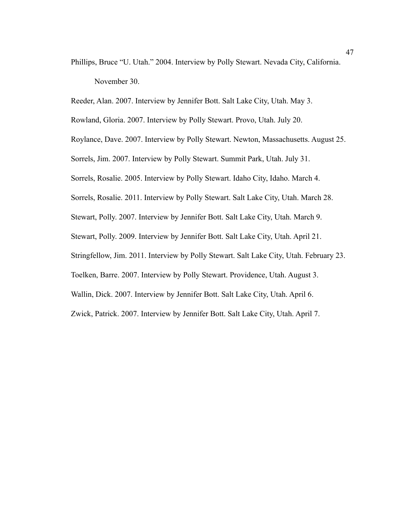Phillips, Bruce "U. Utah." 2004. Interview by Polly Stewart. Nevada City, California. November 30.

Reeder, Alan. 2007. Interview by Jennifer Bott. Salt Lake City, Utah. May 3.

Rowland, Gloria. 2007. Interview by Polly Stewart. Provo, Utah. July 20.

Roylance, Dave. 2007. Interview by Polly Stewart. Newton, Massachusetts. August 25.

Sorrels, Jim. 2007. Interview by Polly Stewart. Summit Park, Utah. July 31.

Sorrels, Rosalie. 2005. Interview by Polly Stewart. Idaho City, Idaho. March 4.

Sorrels, Rosalie. 2011. Interview by Polly Stewart. Salt Lake City, Utah. March 28.

Stewart, Polly. 2007. Interview by Jennifer Bott. Salt Lake City, Utah. March 9.

Stewart, Polly. 2009. Interview by Jennifer Bott. Salt Lake City, Utah. April 21.

Stringfellow, Jim. 2011. Interview by Polly Stewart. Salt Lake City, Utah. February 23.

Toelken, Barre. 2007. Interview by Polly Stewart. Providence, Utah. August 3.

Wallin, Dick. 2007. Interview by Jennifer Bott. Salt Lake City, Utah. April 6.

Zwick, Patrick. 2007. Interview by Jennifer Bott. Salt Lake City, Utah. April 7.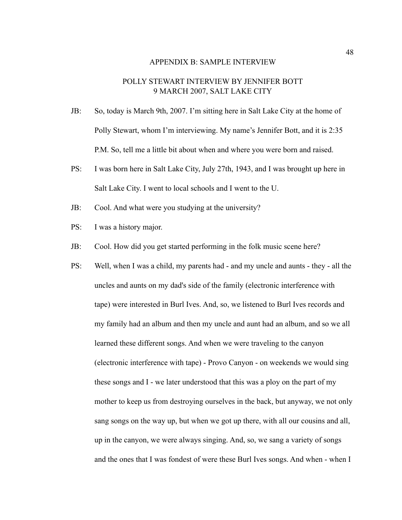#### APPENDIX B: SAMPLE INTERVIEW

## POLLY STEWART INTERVIEW BY JENNIFER BOTT 9 MARCH 2007, SALT LAKE CITY

- JB: So, today is March 9th, 2007. I'm sitting here in Salt Lake City at the home of Polly Stewart, whom I'm interviewing. My name's Jennifer Bott, and it is 2:35 P.M. So, tell me a little bit about when and where you were born and raised.
- PS: I was born here in Salt Lake City, July 27th, 1943, and I was brought up here in Salt Lake City. I went to local schools and I went to the U.
- JB: Cool. And what were you studying at the university?
- PS: I was a history major.
- JB: Cool. How did you get started performing in the folk music scene here?
- PS: Well, when I was a child, my parents had and my uncle and aunts they all the uncles and aunts on my dad's side of the family (electronic interference with tape) were interested in Burl Ives. And, so, we listened to Burl Ives records and my family had an album and then my uncle and aunt had an album, and so we all learned these different songs. And when we were traveling to the canyon (electronic interference with tape) - Provo Canyon - on weekends we would sing these songs and I - we later understood that this was a ploy on the part of my mother to keep us from destroying ourselves in the back, but anyway, we not only sang songs on the way up, but when we got up there, with all our cousins and all, up in the canyon, we were always singing. And, so, we sang a variety of songs and the ones that I was fondest of were these Burl Ives songs. And when - when I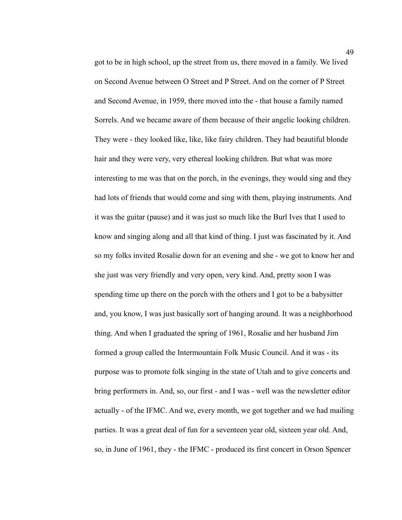got to be in high school, up the street from us, there moved in a family. We lived on Second Avenue between O Street and P Street. And on the corner of P Street and Second Avenue, in 1959, there moved into the - that house a family named Sorrels. And we became aware of them because of their angelic looking children. They were - they looked like, like, like fairy children. They had beautiful blonde hair and they were very, very ethereal looking children. But what was more interesting to me was that on the porch, in the evenings, they would sing and they had lots of friends that would come and sing with them, playing instruments. And it was the guitar (pause) and it was just so much like the Burl Ives that I used to know and singing along and all that kind of thing. I just was fascinated by it. And so my folks invited Rosalie down for an evening and she - we got to know her and she just was very friendly and very open, very kind. And, pretty soon I was spending time up there on the porch with the others and I got to be a babysitter and, you know, I was just basically sort of hanging around. It was a neighborhood thing. And when I graduated the spring of 1961, Rosalie and her husband Jim formed a group called the Intermountain Folk Music Council. And it was - its purpose was to promote folk singing in the state of Utah and to give concerts and bring performers in. And, so, our first - and I was - well was the newsletter editor actually - of the IFMC. And we, every month, we got together and we had mailing parties. It was a great deal of fun for a seventeen year old, sixteen year old. And, so, in June of 1961, they - the IFMC - produced its first concert in Orson Spencer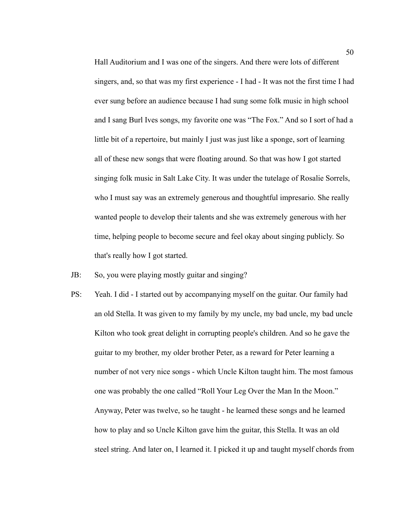Hall Auditorium and I was one of the singers. And there were lots of different singers, and, so that was my first experience - I had - It was not the first time I had ever sung before an audience because I had sung some folk music in high school and I sang Burl Ives songs, my favorite one was "The Fox." And so I sort of had a little bit of a repertoire, but mainly I just was just like a sponge, sort of learning all of these new songs that were floating around. So that was how I got started singing folk music in Salt Lake City. It was under the tutelage of Rosalie Sorrels, who I must say was an extremely generous and thoughtful impresario. She really wanted people to develop their talents and she was extremely generous with her time, helping people to become secure and feel okay about singing publicly. So that's really how I got started.

- JB: So, you were playing mostly guitar and singing?
- PS: Yeah. I did I started out by accompanying myself on the guitar. Our family had an old Stella. It was given to my family by my uncle, my bad uncle, my bad uncle Kilton who took great delight in corrupting people's children. And so he gave the guitar to my brother, my older brother Peter, as a reward for Peter learning a number of not very nice songs - which Uncle Kilton taught him. The most famous one was probably the one called "Roll Your Leg Over the Man In the Moon." Anyway, Peter was twelve, so he taught - he learned these songs and he learned how to play and so Uncle Kilton gave him the guitar, this Stella. It was an old steel string. And later on, I learned it. I picked it up and taught myself chords from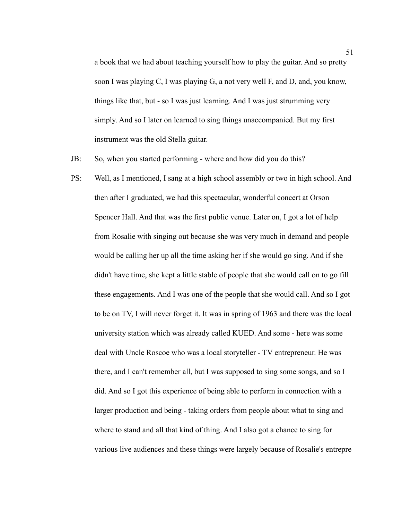a book that we had about teaching yourself how to play the guitar. And so pretty soon I was playing C, I was playing G, a not very well F, and D, and, you know, things like that, but - so I was just learning. And I was just strumming very simply. And so I later on learned to sing things unaccompanied. But my first instrument was the old Stella guitar.

JB: So, when you started performing - where and how did you do this?

PS: Well, as I mentioned, I sang at a high school assembly or two in high school. And then after I graduated, we had this spectacular, wonderful concert at Orson Spencer Hall. And that was the first public venue. Later on, I got a lot of help from Rosalie with singing out because she was very much in demand and people would be calling her up all the time asking her if she would go sing. And if she didn't have time, she kept a little stable of people that she would call on to go fill these engagements. And I was one of the people that she would call. And so I got to be on TV, I will never forget it. It was in spring of 1963 and there was the local university station which was already called KUED. And some - here was some deal with Uncle Roscoe who was a local storyteller - TV entrepreneur. He was there, and I can't remember all, but I was supposed to sing some songs, and so I did. And so I got this experience of being able to perform in connection with a larger production and being - taking orders from people about what to sing and where to stand and all that kind of thing. And I also got a chance to sing for various live audiences and these things were largely because of Rosalie's entrepre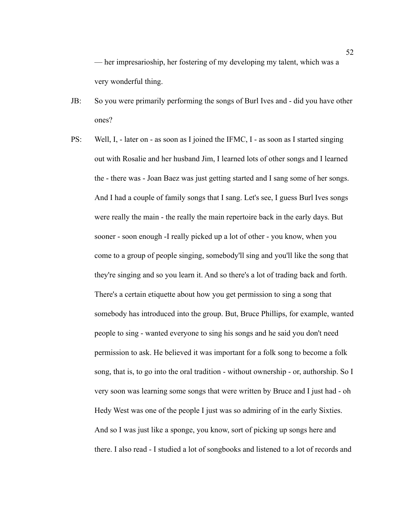— her impresarioship, her fostering of my developing my talent, which was a very wonderful thing.

- JB: So you were primarily performing the songs of Burl Ives and did you have other ones?
- PS: Well, I, later on as soon as I joined the IFMC, I as soon as I started singing out with Rosalie and her husband Jim, I learned lots of other songs and I learned the - there was - Joan Baez was just getting started and I sang some of her songs. And I had a couple of family songs that I sang. Let's see, I guess Burl Ives songs were really the main - the really the main repertoire back in the early days. But sooner - soon enough -I really picked up a lot of other - you know, when you come to a group of people singing, somebody'll sing and you'll like the song that they're singing and so you learn it. And so there's a lot of trading back and forth. There's a certain etiquette about how you get permission to sing a song that somebody has introduced into the group. But, Bruce Phillips, for example, wanted people to sing - wanted everyone to sing his songs and he said you don't need permission to ask. He believed it was important for a folk song to become a folk song, that is, to go into the oral tradition - without ownership - or, authorship. So I very soon was learning some songs that were written by Bruce and I just had - oh Hedy West was one of the people I just was so admiring of in the early Sixties. And so I was just like a sponge, you know, sort of picking up songs here and there. I also read - I studied a lot of songbooks and listened to a lot of records and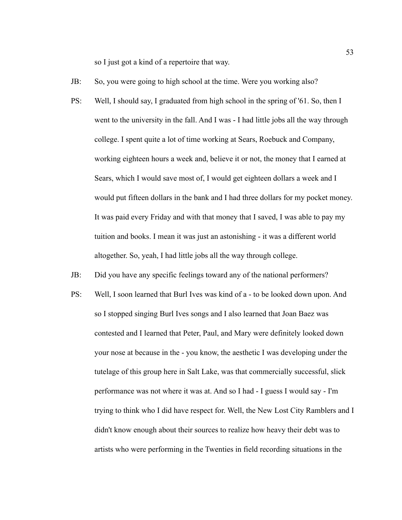so I just got a kind of a repertoire that way.

- JB: So, you were going to high school at the time. Were you working also?
- PS: Well, I should say, I graduated from high school in the spring of '61. So, then I went to the university in the fall. And I was - I had little jobs all the way through college. I spent quite a lot of time working at Sears, Roebuck and Company, working eighteen hours a week and, believe it or not, the money that I earned at Sears, which I would save most of, I would get eighteen dollars a week and I would put fifteen dollars in the bank and I had three dollars for my pocket money. It was paid every Friday and with that money that I saved, I was able to pay my tuition and books. I mean it was just an astonishing - it was a different world altogether. So, yeah, I had little jobs all the way through college.
- JB: Did you have any specific feelings toward any of the national performers?
- PS: Well, I soon learned that Burl Ives was kind of a to be looked down upon. And so I stopped singing Burl Ives songs and I also learned that Joan Baez was contested and I learned that Peter, Paul, and Mary were definitely looked down your nose at because in the - you know, the aesthetic I was developing under the tutelage of this group here in Salt Lake, was that commercially successful, slick performance was not where it was at. And so I had - I guess I would say - I'm trying to think who I did have respect for. Well, the New Lost City Ramblers and I didn't know enough about their sources to realize how heavy their debt was to artists who were performing in the Twenties in field recording situations in the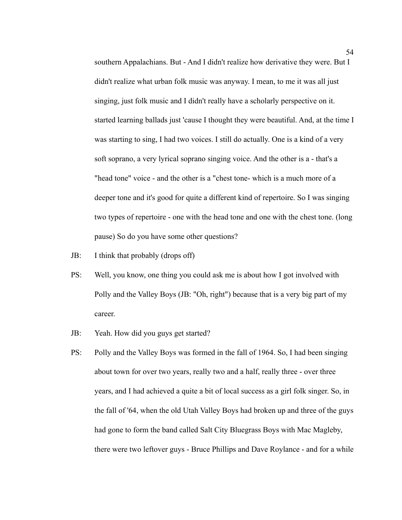southern Appalachians. But - And I didn't realize how derivative they were. But I didn't realize what urban folk music was anyway. I mean, to me it was all just singing, just folk music and I didn't really have a scholarly perspective on it. started learning ballads just 'cause I thought they were beautiful. And, at the time I was starting to sing, I had two voices. I still do actually. One is a kind of a very soft soprano, a very lyrical soprano singing voice. And the other is a - that's a "head tone" voice - and the other is a "chest tone- which is a much more of a deeper tone and it's good for quite a different kind of repertoire. So I was singing two types of repertoire - one with the head tone and one with the chest tone. (long pause) So do you have some other questions?

- JB: I think that probably (drops off)
- PS: Well, you know, one thing you could ask me is about how I got involved with Polly and the Valley Boys (JB: "Oh, right") because that is a very big part of my career.
- JB: Yeah. How did you guys get started?
- PS: Polly and the Valley Boys was formed in the fall of 1964. So, I had been singing about town for over two years, really two and a half, really three - over three years, and I had achieved a quite a bit of local success as a girl folk singer. So, in the fall of '64, when the old Utah Valley Boys had broken up and three of the guys had gone to form the band called Salt City Bluegrass Boys with Mac Magleby, there were two leftover guys - Bruce Phillips and Dave Roylance - and for a while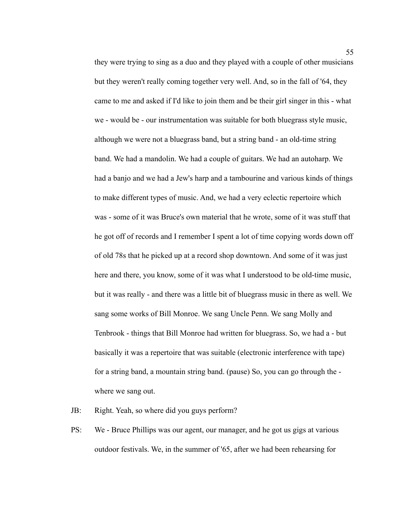they were trying to sing as a duo and they played with a couple of other musicians but they weren't really coming together very well. And, so in the fall of '64, they came to me and asked if I'd like to join them and be their girl singer in this - what we - would be - our instrumentation was suitable for both bluegrass style music, although we were not a bluegrass band, but a string band - an old-time string band. We had a mandolin. We had a couple of guitars. We had an autoharp. We had a banjo and we had a Jew's harp and a tambourine and various kinds of things to make different types of music. And, we had a very eclectic repertoire which was - some of it was Bruce's own material that he wrote, some of it was stuff that he got off of records and I remember I spent a lot of time copying words down off of old 78s that he picked up at a record shop downtown. And some of it was just here and there, you know, some of it was what I understood to be old-time music, but it was really - and there was a little bit of bluegrass music in there as well. We sang some works of Bill Monroe. We sang Uncle Penn. We sang Molly and Tenbrook - things that Bill Monroe had written for bluegrass. So, we had a - but basically it was a repertoire that was suitable (electronic interference with tape) for a string band, a mountain string band. (pause) So, you can go through the where we sang out.

JB: Right. Yeah, so where did you guys perform?

PS: We - Bruce Phillips was our agent, our manager, and he got us gigs at various outdoor festivals. We, in the summer of '65, after we had been rehearsing for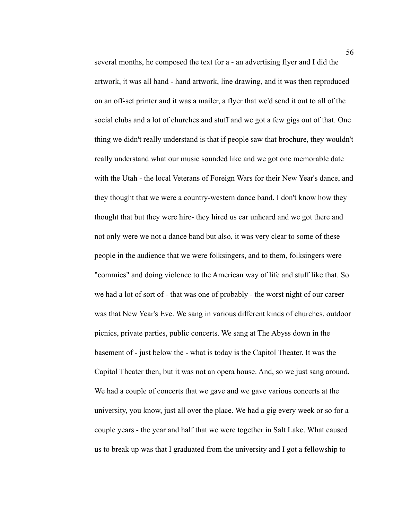several months, he composed the text for a - an advertising flyer and I did the artwork, it was all hand - hand artwork, line drawing, and it was then reproduced on an off-set printer and it was a mailer, a flyer that we'd send it out to all of the social clubs and a lot of churches and stuff and we got a few gigs out of that. One thing we didn't really understand is that if people saw that brochure, they wouldn't really understand what our music sounded like and we got one memorable date with the Utah - the local Veterans of Foreign Wars for their New Year's dance, and they thought that we were a country-western dance band. I don't know how they thought that but they were hire- they hired us ear unheard and we got there and not only were we not a dance band but also, it was very clear to some of these people in the audience that we were folksingers, and to them, folksingers were "commies" and doing violence to the American way of life and stuff like that. So we had a lot of sort of - that was one of probably - the worst night of our career was that New Year's Eve. We sang in various different kinds of churches, outdoor picnics, private parties, public concerts. We sang at The Abyss down in the basement of - just below the - what is today is the Capitol Theater. It was the Capitol Theater then, but it was not an opera house. And, so we just sang around. We had a couple of concerts that we gave and we gave various concerts at the university, you know, just all over the place. We had a gig every week or so for a couple years - the year and half that we were together in Salt Lake. What caused us to break up was that I graduated from the university and I got a fellowship to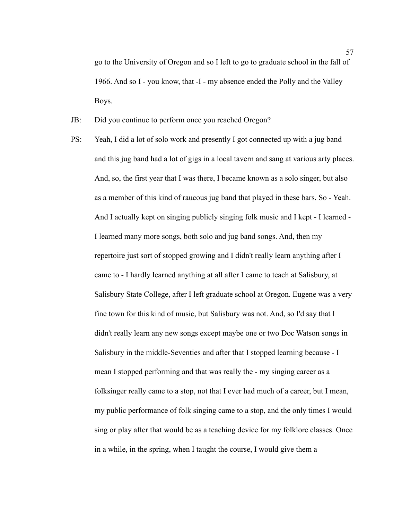go to the University of Oregon and so I left to go to graduate school in the fall of 1966. And so I - you know, that -I - my absence ended the Polly and the Valley Boys.

- JB: Did you continue to perform once you reached Oregon?
- PS: Yeah, I did a lot of solo work and presently I got connected up with a jug band and this jug band had a lot of gigs in a local tavern and sang at various arty places. And, so, the first year that I was there, I became known as a solo singer, but also as a member of this kind of raucous jug band that played in these bars. So - Yeah. And I actually kept on singing publicly singing folk music and I kept - I learned - I learned many more songs, both solo and jug band songs. And, then my repertoire just sort of stopped growing and I didn't really learn anything after I came to - I hardly learned anything at all after I came to teach at Salisbury, at Salisbury State College, after I left graduate school at Oregon. Eugene was a very fine town for this kind of music, but Salisbury was not. And, so I'd say that I didn't really learn any new songs except maybe one or two Doc Watson songs in Salisbury in the middle-Seventies and after that I stopped learning because - I mean I stopped performing and that was really the - my singing career as a folksinger really came to a stop, not that I ever had much of a career, but I mean, my public performance of folk singing came to a stop, and the only times I would sing or play after that would be as a teaching device for my folklore classes. Once in a while, in the spring, when I taught the course, I would give them a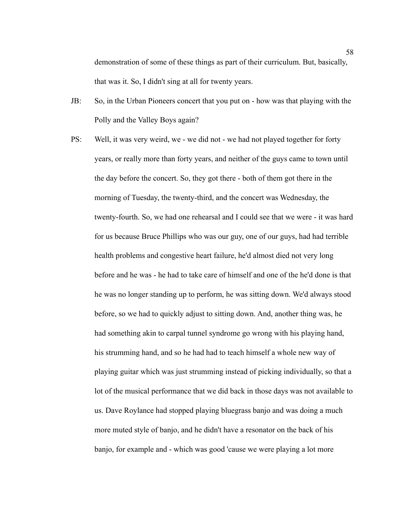demonstration of some of these things as part of their curriculum. But, basically, that was it. So, I didn't sing at all for twenty years.

- JB: So, in the Urban Pioneers concert that you put on how was that playing with the Polly and the Valley Boys again?
- PS: Well, it was very weird, we we did not we had not played together for forty years, or really more than forty years, and neither of the guys came to town until the day before the concert. So, they got there - both of them got there in the morning of Tuesday, the twenty-third, and the concert was Wednesday, the twenty-fourth. So, we had one rehearsal and I could see that we were - it was hard for us because Bruce Phillips who was our guy, one of our guys, had had terrible health problems and congestive heart failure, he'd almost died not very long before and he was - he had to take care of himself and one of the he'd done is that he was no longer standing up to perform, he was sitting down. We'd always stood before, so we had to quickly adjust to sitting down. And, another thing was, he had something akin to carpal tunnel syndrome go wrong with his playing hand, his strumming hand, and so he had had to teach himself a whole new way of playing guitar which was just strumming instead of picking individually, so that a lot of the musical performance that we did back in those days was not available to us. Dave Roylance had stopped playing bluegrass banjo and was doing a much more muted style of banjo, and he didn't have a resonator on the back of his banjo, for example and - which was good 'cause we were playing a lot more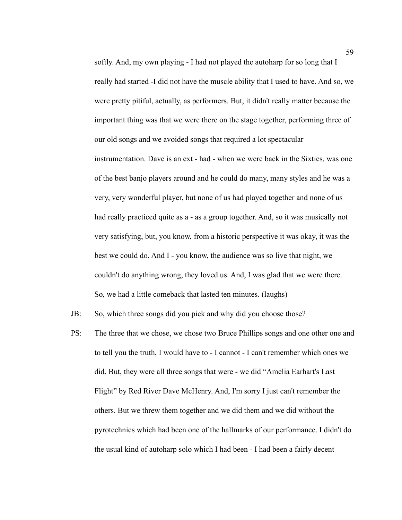softly. And, my own playing - I had not played the autoharp for so long that I really had started -I did not have the muscle ability that I used to have. And so, we were pretty pitiful, actually, as performers. But, it didn't really matter because the important thing was that we were there on the stage together, performing three of our old songs and we avoided songs that required a lot spectacular instrumentation. Dave is an ext - had - when we were back in the Sixties, was one of the best banjo players around and he could do many, many styles and he was a very, very wonderful player, but none of us had played together and none of us had really practiced quite as a - as a group together. And, so it was musically not very satisfying, but, you know, from a historic perspective it was okay, it was the best we could do. And I - you know, the audience was so live that night, we couldn't do anything wrong, they loved us. And, I was glad that we were there. So, we had a little comeback that lasted ten minutes. (laughs)

JB: So, which three songs did you pick and why did you choose those?

PS: The three that we chose, we chose two Bruce Phillips songs and one other one and to tell you the truth, I would have to - I cannot - I can't remember which ones we did. But, they were all three songs that were - we did "Amelia Earhart's Last Flight" by Red River Dave McHenry. And, I'm sorry I just can't remember the others. But we threw them together and we did them and we did without the pyrotechnics which had been one of the hallmarks of our performance. I didn't do the usual kind of autoharp solo which I had been - I had been a fairly decent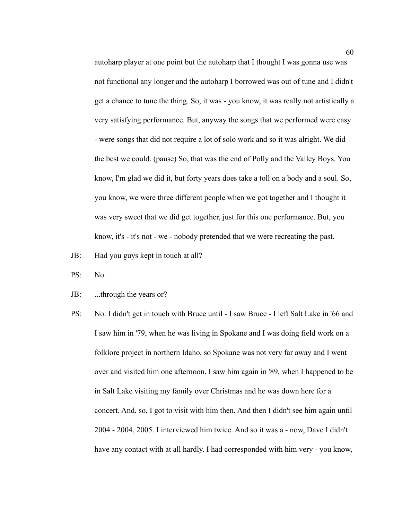autoharp player at one point but the autoharp that I thought I was gonna use was not functional any longer and the autoharp I borrowed was out of tune and I didn't get a chance to tune the thing. So, it was - you know, it was really not artistically a very satisfying performance. But, anyway the songs that we performed were easy - were songs that did not require a lot of solo work and so it was alright. We did the best we could. (pause) So, that was the end of Polly and the Valley Boys. You know, I'm glad we did it, but forty years does take a toll on a body and a soul. So, you know, we were three different people when we got together and I thought it was very sweet that we did get together, just for this one performance. But, you know, it's - it's not - we - nobody pretended that we were recreating the past.

JB: Had you guys kept in touch at all?

PS: No.

- JB: ...through the years or?
- PS: No. I didn't get in touch with Bruce until I saw Bruce I left Salt Lake in '66 and I saw him in '79, when he was living in Spokane and I was doing field work on a folklore project in northern Idaho, so Spokane was not very far away and I went over and visited him one afternoon. I saw him again in '89, when I happened to be in Salt Lake visiting my family over Christmas and he was down here for a concert. And, so, I got to visit with him then. And then I didn't see him again until 2004 - 2004, 2005. I interviewed him twice. And so it was a - now, Dave I didn't have any contact with at all hardly. I had corresponded with him very - you know,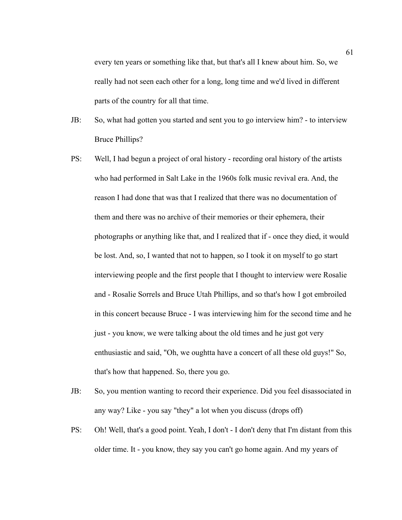every ten years or something like that, but that's all I knew about him. So, we really had not seen each other for a long, long time and we'd lived in different parts of the country for all that time.

- JB: So, what had gotten you started and sent you to go interview him? to interview Bruce Phillips?
- PS: Well, I had begun a project of oral history recording oral history of the artists who had performed in Salt Lake in the 1960s folk music revival era. And, the reason I had done that was that I realized that there was no documentation of them and there was no archive of their memories or their ephemera, their photographs or anything like that, and I realized that if - once they died, it would be lost. And, so, I wanted that not to happen, so I took it on myself to go start interviewing people and the first people that I thought to interview were Rosalie and - Rosalie Sorrels and Bruce Utah Phillips, and so that's how I got embroiled in this concert because Bruce - I was interviewing him for the second time and he just - you know, we were talking about the old times and he just got very enthusiastic and said, "Oh, we oughtta have a concert of all these old guys!" So, that's how that happened. So, there you go.
- JB: So, you mention wanting to record their experience. Did you feel disassociated in any way? Like - you say "they" a lot when you discuss (drops off)
- PS: Oh! Well, that's a good point. Yeah, I don't I don't deny that I'm distant from this older time. It - you know, they say you can't go home again. And my years of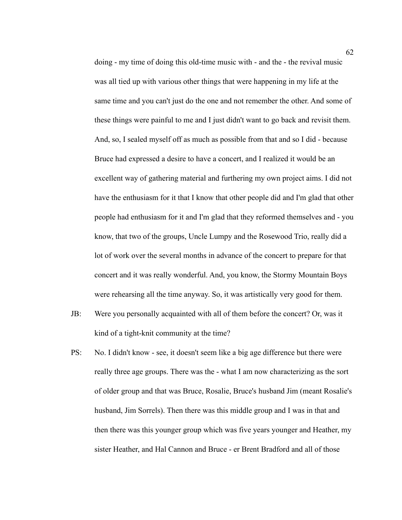doing - my time of doing this old-time music with - and the - the revival music was all tied up with various other things that were happening in my life at the same time and you can't just do the one and not remember the other. And some of these things were painful to me and I just didn't want to go back and revisit them. And, so, I sealed myself off as much as possible from that and so I did - because Bruce had expressed a desire to have a concert, and I realized it would be an excellent way of gathering material and furthering my own project aims. I did not have the enthusiasm for it that I know that other people did and I'm glad that other people had enthusiasm for it and I'm glad that they reformed themselves and - you know, that two of the groups, Uncle Lumpy and the Rosewood Trio, really did a lot of work over the several months in advance of the concert to prepare for that concert and it was really wonderful. And, you know, the Stormy Mountain Boys were rehearsing all the time anyway. So, it was artistically very good for them.

- JB: Were you personally acquainted with all of them before the concert? Or, was it kind of a tight-knit community at the time?
- PS: No. I didn't know see, it doesn't seem like a big age difference but there were really three age groups. There was the - what I am now characterizing as the sort of older group and that was Bruce, Rosalie, Bruce's husband Jim (meant Rosalie's husband, Jim Sorrels). Then there was this middle group and I was in that and then there was this younger group which was five years younger and Heather, my sister Heather, and Hal Cannon and Bruce - er Brent Bradford and all of those